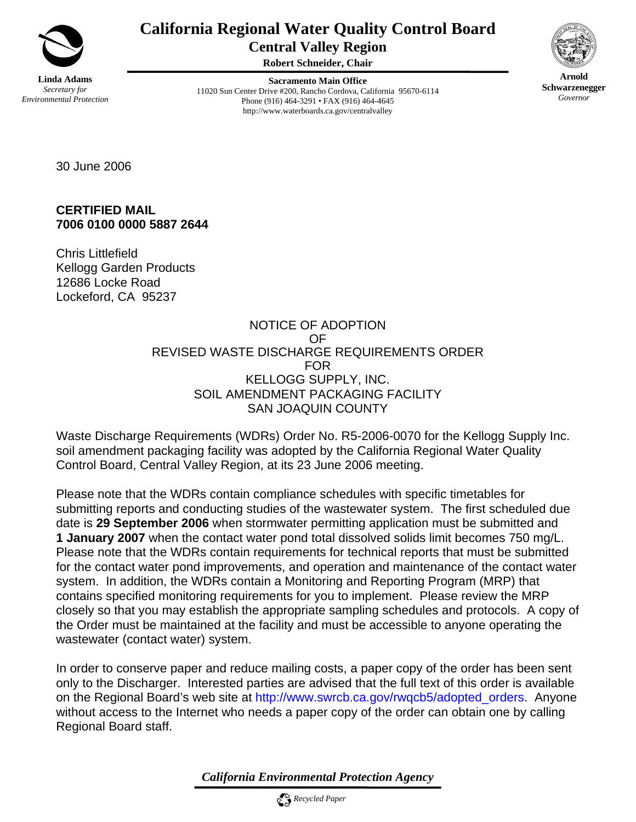

# **California Regional Water Quality Control Board Central Valley Region**

**Robert Schneider, Chair**

**Sacramento Main Office** 11020 Sun Center Drive #200, Rancho Cordova, California 95670-6114 Phone (916) 464-3291 • FAX (916) 464-4645 http://www.waterboards.ca.gov/centralvalley



**Arnold Schwarzenegger** *Governor* 

30 June 2006

**CERTIFIED MAIL 7006 0100 0000 5887 2644** 

Chris Littlefield Kellogg Garden Products 12686 Locke Road Lockeford, CA 95237

#### NOTICE OF ADOPTION OF REVISED WASTE DISCHARGE REQUIREMENTS ORDER FOR KELLOGG SUPPLY, INC. SOIL AMENDMENT PACKAGING FACILITY SAN JOAQUIN COUNTY

Waste Discharge Requirements (WDRs) Order No. R5-2006-0070 for the Kellogg Supply Inc. soil amendment packaging facility was adopted by the California Regional Water Quality Control Board, Central Valley Region, at its 23 June 2006 meeting.

Please note that the WDRs contain compliance schedules with specific timetables for submitting reports and conducting studies of the wastewater system. The first scheduled due date is **29 September 2006** when stormwater permitting application must be submitted and **1 January 2007** when the contact water pond total dissolved solids limit becomes 750 mg/L. Please note that the WDRs contain requirements for technical reports that must be submitted for the contact water pond improvements, and operation and maintenance of the contact water system. In addition, the WDRs contain a Monitoring and Reporting Program (MRP) that contains specified monitoring requirements for you to implement. Please review the MRP closely so that you may establish the appropriate sampling schedules and protocols. A copy of the Order must be maintained at the facility and must be accessible to anyone operating the wastewater (contact water) system.

In order to conserve paper and reduce mailing costs, a paper copy of the order has been sent only to the Discharger. Interested parties are advised that the full text of this order is available on the Regional Board's web site at http://www.swrcb.ca.gov/rwqcb5/adopted\_orders. Anyone without access to the Internet who needs a paper copy of the order can obtain one by calling Regional Board staff.

*California Environmental Protection Agency*

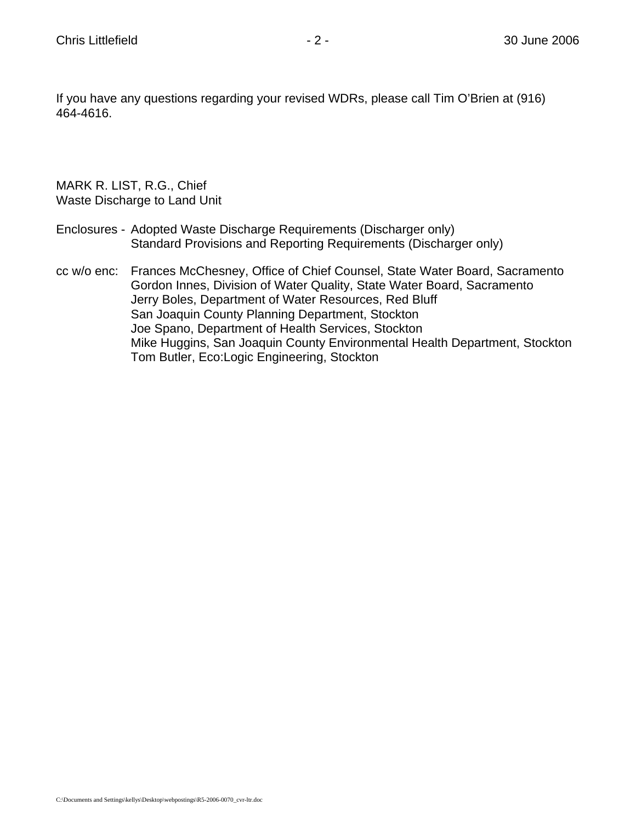If you have any questions regarding your revised WDRs, please call Tim O'Brien at (916) 464-4616.

MARK R. LIST, R.G., Chief Waste Discharge to Land Unit

- Enclosures Adopted Waste Discharge Requirements (Discharger only) Standard Provisions and Reporting Requirements (Discharger only)
- cc w/o enc: Frances McChesney, Office of Chief Counsel, State Water Board, Sacramento Gordon Innes, Division of Water Quality, State Water Board, Sacramento Jerry Boles, Department of Water Resources, Red Bluff San Joaquin County Planning Department, Stockton Joe Spano, Department of Health Services, Stockton Mike Huggins, San Joaquin County Environmental Health Department, Stockton Tom Butler, Eco:Logic Engineering, Stockton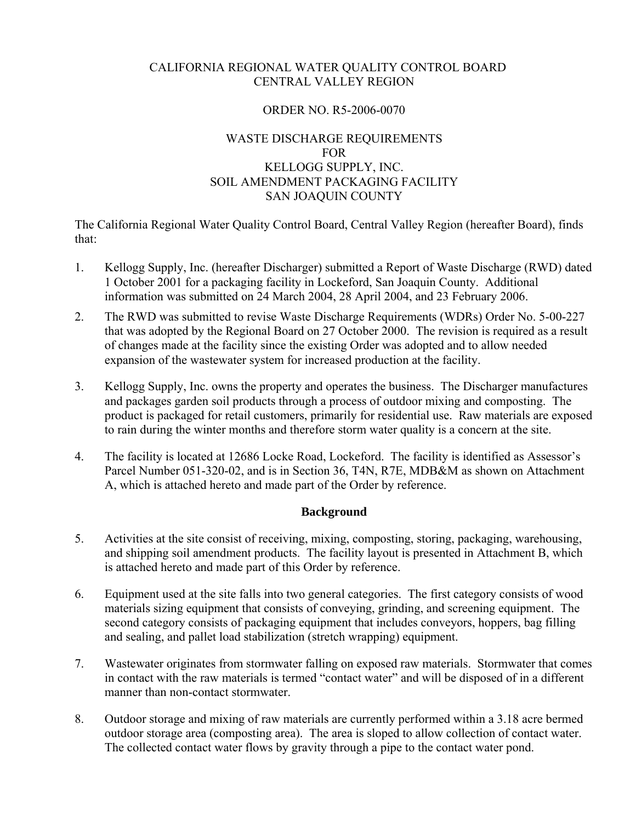#### CALIFORNIA REGIONAL WATER QUALITY CONTROL BOARD CENTRAL VALLEY REGION

#### ORDER NO. R5-2006-0070

#### WASTE DISCHARGE REQUIREMENTS FOR KELLOGG SUPPLY, INC. SOIL AMENDMENT PACKAGING FACILITY SAN JOAQUIN COUNTY

The California Regional Water Quality Control Board, Central Valley Region (hereafter Board), finds that:

- 1. Kellogg Supply, Inc. (hereafter Discharger) submitted a Report of Waste Discharge (RWD) dated 1 October 2001 for a packaging facility in Lockeford, San Joaquin County. Additional information was submitted on 24 March 2004, 28 April 2004, and 23 February 2006.
- 2. The RWD was submitted to revise Waste Discharge Requirements (WDRs) Order No. 5-00-227 that was adopted by the Regional Board on 27 October 2000. The revision is required as a result of changes made at the facility since the existing Order was adopted and to allow needed expansion of the wastewater system for increased production at the facility.
- 3. Kellogg Supply, Inc. owns the property and operates the business. The Discharger manufactures and packages garden soil products through a process of outdoor mixing and composting. The product is packaged for retail customers, primarily for residential use. Raw materials are exposed to rain during the winter months and therefore storm water quality is a concern at the site.
- 4. The facility is located at 12686 Locke Road, Lockeford. The facility is identified as Assessor's Parcel Number 051-320-02, and is in Section 36, T4N, R7E, MDB&M as shown on Attachment A, which is attached hereto and made part of the Order by reference.

#### **Background**

- 5. Activities at the site consist of receiving, mixing, composting, storing, packaging, warehousing, and shipping soil amendment products. The facility layout is presented in Attachment B, which is attached hereto and made part of this Order by reference.
- 6. Equipment used at the site falls into two general categories. The first category consists of wood materials sizing equipment that consists of conveying, grinding, and screening equipment. The second category consists of packaging equipment that includes conveyors, hoppers, bag filling and sealing, and pallet load stabilization (stretch wrapping) equipment.
- 7. Wastewater originates from stormwater falling on exposed raw materials. Stormwater that comes in contact with the raw materials is termed "contact water" and will be disposed of in a different manner than non-contact stormwater.
- 8. Outdoor storage and mixing of raw materials are currently performed within a 3.18 acre bermed outdoor storage area (composting area). The area is sloped to allow collection of contact water. The collected contact water flows by gravity through a pipe to the contact water pond.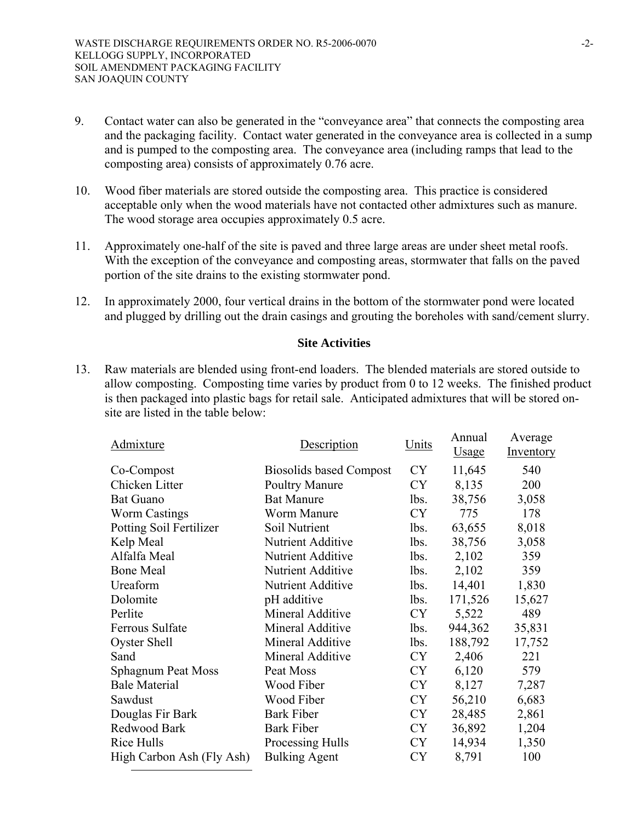- 9. Contact water can also be generated in the "conveyance area" that connects the composting area and the packaging facility. Contact water generated in the conveyance area is collected in a sump and is pumped to the composting area. The conveyance area (including ramps that lead to the composting area) consists of approximately 0.76 acre.
- 10. Wood fiber materials are stored outside the composting area. This practice is considered acceptable only when the wood materials have not contacted other admixtures such as manure. The wood storage area occupies approximately 0.5 acre.
- 11. Approximately one-half of the site is paved and three large areas are under sheet metal roofs. With the exception of the conveyance and composting areas, stormwater that falls on the paved portion of the site drains to the existing stormwater pond.
- 12. In approximately 2000, four vertical drains in the bottom of the stormwater pond were located and plugged by drilling out the drain casings and grouting the boreholes with sand/cement slurry.

#### **Site Activities**

13. Raw materials are blended using front-end loaders. The blended materials are stored outside to allow composting. Composting time varies by product from 0 to 12 weeks. The finished product is then packaged into plastic bags for retail sale. Anticipated admixtures that will be stored onsite are listed in the table below:

| Admixture                 | Description                    | Units     | Annual<br><b>Usage</b> | Average<br>Inventory |
|---------------------------|--------------------------------|-----------|------------------------|----------------------|
| Co-Compost                | <b>Biosolids based Compost</b> | CY        | 11,645                 | 540                  |
| Chicken Litter            | <b>Poultry Manure</b>          | <b>CY</b> | 8,135                  | 200                  |
| <b>Bat Guano</b>          | <b>Bat Manure</b>              | lbs.      | 38,756                 | 3,058                |
| <b>Worm Castings</b>      | <b>Worm Manure</b>             | <b>CY</b> | 775                    | 178                  |
| Potting Soil Fertilizer   | Soil Nutrient                  | lbs.      | 63,655                 | 8,018                |
| Kelp Meal                 | <b>Nutrient Additive</b>       | lbs.      | 38,756                 | 3,058                |
| Alfalfa Meal              | <b>Nutrient Additive</b>       | lbs.      | 2,102                  | 359                  |
| <b>Bone Meal</b>          | <b>Nutrient Additive</b>       | lbs.      | 2,102                  | 359                  |
| Ureaform                  | <b>Nutrient Additive</b>       | lbs.      | 14,401                 | 1,830                |
| Dolomite                  | pH additive                    | lbs.      | 171,526                | 15,627               |
| Perlite                   | Mineral Additive               | <b>CY</b> | 5,522                  | 489                  |
| Ferrous Sulfate           | Mineral Additive               | lbs.      | 944,362                | 35,831               |
| Oyster Shell              | Mineral Additive               | lbs.      | 188,792                | 17,752               |
| Sand                      | Mineral Additive               | <b>CY</b> | 2,406                  | 221                  |
| <b>Sphagnum Peat Moss</b> | Peat Moss                      | <b>CY</b> | 6,120                  | 579                  |
| <b>Bale Material</b>      | Wood Fiber                     | CY        | 8,127                  | 7,287                |
| Sawdust                   | Wood Fiber                     | <b>CY</b> | 56,210                 | 6,683                |
| Douglas Fir Bark          | <b>Bark Fiber</b>              | <b>CY</b> | 28,485                 | 2,861                |
| Redwood Bark              | <b>Bark Fiber</b>              | <b>CY</b> | 36,892                 | 1,204                |
| Rice Hulls                | Processing Hulls               | <b>CY</b> | 14,934                 | 1,350                |
| High Carbon Ash (Fly Ash) | <b>Bulking Agent</b>           | <b>CY</b> | 8,791                  | 100                  |
|                           |                                |           |                        |                      |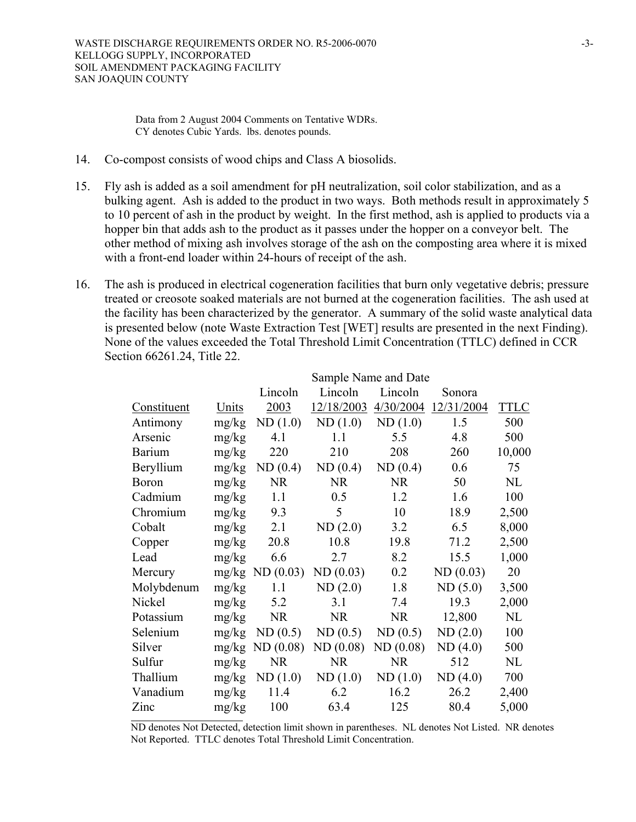Data from 2 August 2004 Comments on Tentative WDRs. CY denotes Cubic Yards. lbs. denotes pounds.

- 14. Co-compost consists of wood chips and Class A biosolids.
- 15. Fly ash is added as a soil amendment for pH neutralization, soil color stabilization, and as a bulking agent. Ash is added to the product in two ways. Both methods result in approximately 5 to 10 percent of ash in the product by weight. In the first method, ash is applied to products via a hopper bin that adds ash to the product as it passes under the hopper on a conveyor belt. The other method of mixing ash involves storage of the ash on the composting area where it is mixed with a front-end loader within 24-hours of receipt of the ash.
- 16. The ash is produced in electrical cogeneration facilities that burn only vegetative debris; pressure treated or creosote soaked materials are not burned at the cogeneration facilities. The ash used at the facility has been characterized by the generator. A summary of the solid waste analytical data is presented below (note Waste Extraction Test [WET] results are presented in the next Finding). None of the values exceeded the Total Threshold Limit Concentration (TTLC) defined in CCR Section 66261.24, Title 22.

|               | Sample Name and Date |                            |            |           |            |             |  |  |
|---------------|----------------------|----------------------------|------------|-----------|------------|-------------|--|--|
|               |                      | Lincoln                    | Lincoln    | Lincoln   | Sonora     |             |  |  |
| Constituent   | Units                | 2003                       | 12/18/2003 | 4/30/2004 | 12/31/2004 | <b>TTLC</b> |  |  |
| Antimony      | mg/kg                | ND(1.0)                    | ND(1.0)    | ND(1.0)   | 1.5        | 500         |  |  |
| Arsenic       | mg/kg                | 4.1                        | 1.1        | 5.5       | 4.8        | 500         |  |  |
| <b>Barium</b> | mg/kg                | 220                        | 210        | 208       | 260        | 10,000      |  |  |
| Beryllium     | mg/kg                | ND(0.4)                    | ND(0.4)    | ND(0.4)   | 0.6        | 75          |  |  |
| <b>Boron</b>  | mg/kg                | <b>NR</b>                  | <b>NR</b>  | <b>NR</b> | 50         | NL          |  |  |
| Cadmium       | mg/kg                | 1.1                        | 0.5        | 1.2       | 1.6        | 100         |  |  |
| Chromium      | mg/kg                | 9.3                        | 5          | 10        | 18.9       | 2,500       |  |  |
| Cobalt        | mg/kg                | 2.1                        | ND(2.0)    | 3.2       | 6.5        | 8,000       |  |  |
| Copper        | mg/kg                | 20.8                       | 10.8       | 19.8      | 71.2       | 2,500       |  |  |
| Lead          | mg/kg                | 6.6                        | 2.7        | 8.2       | 15.5       | 1,000       |  |  |
| Mercury       |                      | $mg/kg \text{ ND } (0.03)$ | ND(0.03)   | 0.2       | ND(0.03)   | 20          |  |  |
| Molybdenum    | mg/kg                | 1.1                        | ND(2.0)    | 1.8       | ND(5.0)    | 3,500       |  |  |
| Nickel        | mg/kg                | 5.2                        | 3.1        | 7.4       | 19.3       | 2,000       |  |  |
| Potassium     | mg/kg                | <b>NR</b>                  | <b>NR</b>  | <b>NR</b> | 12,800     | $\rm NL$    |  |  |
| Selenium      | mg/kg                | ND(0.5)                    | ND(0.5)    | ND(0.5)   | ND(2.0)    | 100         |  |  |
| Silver        | mg/kg                | ND(0.08)                   | ND(0.08)   | ND(0.08)  | ND(4.0)    | 500         |  |  |
| Sulfur        | mg/kg                | <b>NR</b>                  | <b>NR</b>  | <b>NR</b> | 512        | NL          |  |  |
| Thallium      | mg/kg                | ND(1.0)                    | ND(1.0)    | ND(1.0)   | ND(4.0)    | 700         |  |  |
| Vanadium      | mg/kg                | 11.4                       | 6.2        | 16.2      | 26.2       | 2,400       |  |  |
| Zinc          | mg/kg                | 100                        | 63.4       | 125       | 80.4       | 5,000       |  |  |
|               |                      |                            |            |           |            |             |  |  |

ND denotes Not Detected, detection limit shown in parentheses. NL denotes Not Listed. NR denotes Not Reported. TTLC denotes Total Threshold Limit Concentration.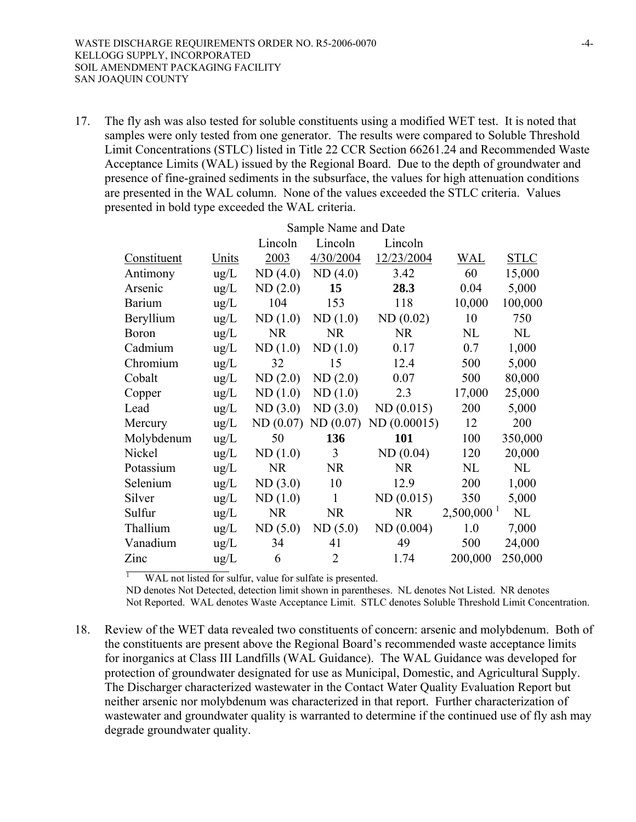17. The fly ash was also tested for soluble constituents using a modified WET test. It is noted that samples were only tested from one generator. The results were compared to Soluble Threshold Limit Concentrations (STLC) listed in Title 22 CCR Section 66261.24 and Recommended Waste Acceptance Limits (WAL) issued by the Regional Board. Due to the depth of groundwater and presence of fine-grained sediments in the subsurface, the values for high attenuation conditions are presented in the WAL column. None of the values exceeded the STLC criteria. Values presented in bold type exceeded the WAL criteria.

|               |               |           | Sample Name and Date |             |                          |             |
|---------------|---------------|-----------|----------------------|-------------|--------------------------|-------------|
|               |               | Lincoln   | Lincoln              | Lincoln     |                          |             |
| Constituent   | <u>Units</u>  | 2003      | 4/30/2004            | 12/23/2004  | <b>WAL</b>               | <b>STLC</b> |
| Antimony      | ug/L          | ND(4.0)   | ND(4.0)              | 3.42        | 60                       | 15,000      |
| Arsenic       | $\text{ug/L}$ | ND(2.0)   | 15                   | 28.3        | 0.04                     | 5,000       |
| <b>Barium</b> | $\text{ug/L}$ | 104       | 153                  | 118         | 10,000                   | 100,000     |
| Beryllium     | $\text{ug/L}$ | ND(1.0)   | ND(1.0)              | ND(0.02)    | 10                       | 750         |
| <b>Boron</b>  | $\text{ug/L}$ | <b>NR</b> | <b>NR</b>            | <b>NR</b>   | NL                       | NL          |
| Cadmium       | ug/L          | ND(1.0)   | ND(1.0)              | 0.17        | 0.7                      | 1,000       |
| Chromium      | $\text{ug/L}$ | 32        | 15                   | 12.4        | 500                      | 5,000       |
| Cobalt        | $\text{ug/L}$ | ND(2.0)   | ND(2.0)              | 0.07        | 500                      | 80,000      |
| Copper        | $\text{ug/L}$ | ND(1.0)   | ND(1.0)              | 2.3         | 17,000                   | 25,000      |
| Lead          | $\text{ug/L}$ | ND(3.0)   | ND(3.0)              | ND(0.015)   | 200                      | 5,000       |
| Mercury       | $\text{ug/L}$ | ND(0.07)  | ND(0.07)             | ND(0.00015) | 12                       | 200         |
| Molybdenum    | $\text{ug/L}$ | 50        | 136                  | 101         | 100                      | 350,000     |
| Nickel        | $\text{ug/L}$ | ND(1.0)   | $\overline{3}$       | ND(0.04)    | 120                      | 20,000      |
| Potassium     | ug/L          | <b>NR</b> | <b>NR</b>            | <b>NR</b>   | NL                       | $\rm NL$    |
| Selenium      | $\text{ug/L}$ | ND(3.0)   | 10                   | 12.9        | 200                      | 1,000       |
| Silver        | $\text{ug/L}$ | ND(1.0)   | $\mathbf{1}$         | ND(0.015)   | 350                      | 5,000       |
| Sulfur        | $\text{ug/L}$ | <b>NR</b> | <b>NR</b>            | <b>NR</b>   | $2,500,000$ <sup>1</sup> | NL          |
| Thallium      | $\text{ug/L}$ | ND(5.0)   | ND(5.0)              | ND(0.004)   | 1.0                      | 7,000       |
| Vanadium      | $\text{ug/L}$ | 34        | 41                   | 49          | 500                      | 24,000      |
| Zinc          | $\text{ug/L}$ | 6         | $\overline{2}$       | 1.74        | 200,000                  | 250,000     |
|               |               |           |                      |             |                          |             |

1 WAL not listed for sulfur, value for sulfate is presented.

ND denotes Not Detected, detection limit shown in parentheses. NL denotes Not Listed. NR denotes Not Reported. WAL denotes Waste Acceptance Limit. STLC denotes Soluble Threshold Limit Concentration.

18. Review of the WET data revealed two constituents of concern: arsenic and molybdenum. Both of the constituents are present above the Regional Board's recommended waste acceptance limits for inorganics at Class III Landfills (WAL Guidance). The WAL Guidance was developed for protection of groundwater designated for use as Municipal, Domestic, and Agricultural Supply. The Discharger characterized wastewater in the Contact Water Quality Evaluation Report but neither arsenic nor molybdenum was characterized in that report. Further characterization of wastewater and groundwater quality is warranted to determine if the continued use of fly ash may degrade groundwater quality.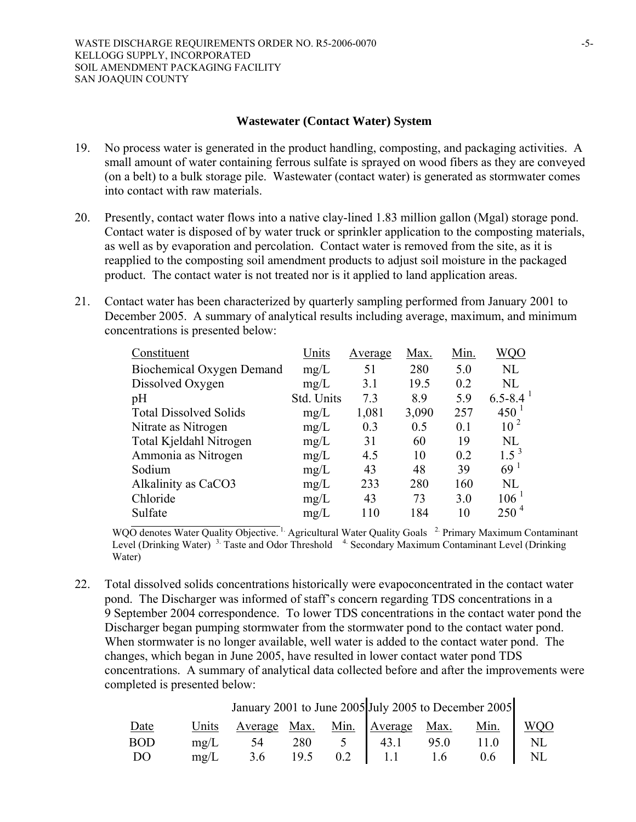#### **Wastewater (Contact Water) System**

- 19. No process water is generated in the product handling, composting, and packaging activities. A small amount of water containing ferrous sulfate is sprayed on wood fibers as they are conveyed (on a belt) to a bulk storage pile. Wastewater (contact water) is generated as stormwater comes into contact with raw materials.
- 20. Presently, contact water flows into a native clay-lined 1.83 million gallon (Mgal) storage pond. Contact water is disposed of by water truck or sprinkler application to the composting materials, as well as by evaporation and percolation. Contact water is removed from the site, as it is reapplied to the composting soil amendment products to adjust soil moisture in the packaged product. The contact water is not treated nor is it applied to land application areas.
- 21. Contact water has been characterized by quarterly sampling performed from January 2001 to December 2005. A summary of analytical results including average, maximum, and minimum concentrations is presented below:

| Constituent                      | Units      | Average | Max.  | Min. | <b>WQO</b>         |
|----------------------------------|------------|---------|-------|------|--------------------|
| <b>Biochemical Oxygen Demand</b> | mg/L       | 51      | 280   | 5.0  | NL                 |
| Dissolved Oxygen                 | mg/L       | 3.1     | 19.5  | 0.2  | NL                 |
| pH                               | Std. Units | 7.3     | 8.9   | 5.9  | $6.5 - 8.4$        |
| <b>Total Dissolved Solids</b>    | mg/L       | 1,081   | 3,090 | 257  | $450^{\mathrm{T}}$ |
| Nitrate as Nitrogen              | mg/L       | 0.3     | 0.5   | 0.1  | 10 <sup>2</sup>    |
| Total Kjeldahl Nitrogen          | mg/L       | 31      | 60    | 19   | NL                 |
| Ammonia as Nitrogen              | mg/L       | 4.5     | 10    | 0.2  | $1.5^3$            |
| Sodium                           | mg/L       | 43      | 48    | 39   | 69 <sup>1</sup>    |
| Alkalinity as CaCO3              | mg/L       | 233     | 280   | 160  | NL                 |
| Chloride                         | mg/L       | 43      | 73    | 3.0  | $106^{-1}$         |
| Sulfate                          | mg/L       | 110     | 184   | 10   | $250^4$            |

WQO denotes Water Quality Objective.<sup>1</sup> Agricultural Water Quality Goals <sup>2</sup> Primary Maximum Contaminant Level (Drinking Water)<sup>3.</sup> Taste and Odor Threshold<sup>4</sup> Secondary Maximum Contaminant Level (Drinking Water)

22. Total dissolved solids concentrations historically were evapoconcentrated in the contact water pond. The Discharger was informed of staff's concern regarding TDS concentrations in a 9 September 2004 correspondence. To lower TDS concentrations in the contact water pond the Discharger began pumping stormwater from the stormwater pond to the contact water pond. When stormwater is no longer available, well water is added to the contact water pond. The changes, which began in June 2005, have resulted in lower contact water pond TDS concentrations. A summary of analytical data collected before and after the improvements were completed is presented below:

January 2001 to June 2005 July 2005 to December 2005

| Date       | Units Average Max. Min. Average Max. Min. $\begin{array}{ l c c c c c c c c } \hline \text{Units} & \text{Average} & \text{Max.} & \text{Min.} \\ \hline \text{mg/L} & 54 & 280 & 5 & 43.1 & 95.0 & 11.0 & \text{NL} \\ \hline \end{array}$ |  |  |  |
|------------|---------------------------------------------------------------------------------------------------------------------------------------------------------------------------------------------------------------------------------------------|--|--|--|
| <b>BOD</b> |                                                                                                                                                                                                                                             |  |  |  |
| DO         | mg/L 3.6 19.5 0.2 1.1 1.6 0.6 NL                                                                                                                                                                                                            |  |  |  |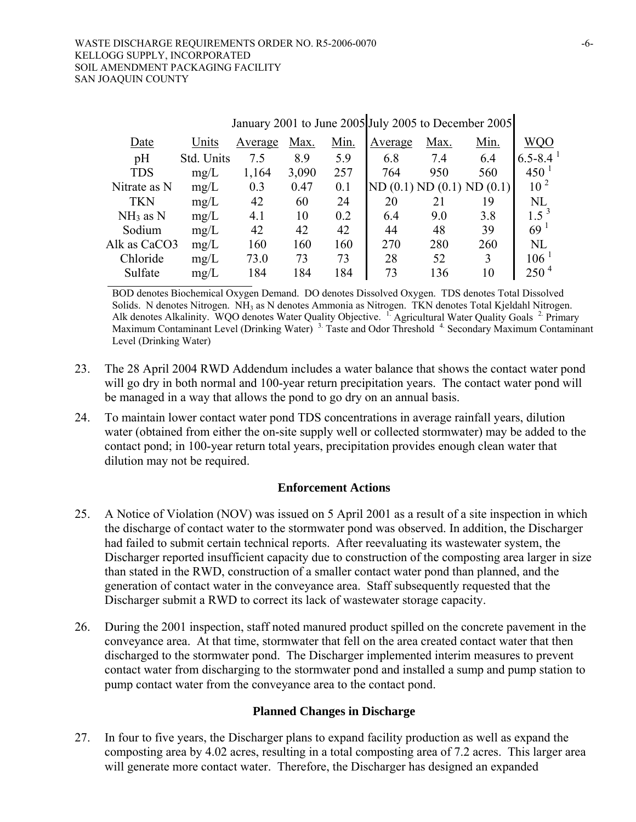| $J$ and $J$ $\sim$ $J$ $\sim$ $J$ $\sim$ $J$ $\sim$ $J$ $\sim$ $J$ $\sim$ $J$ $\sim$ $J$ $\sim$ $J$ $\sim$ $J$ $\sim$ $J$ $\sim$ $J$ $\sim$ $J$ $\sim$ $J$ $\sim$ $J$ $\sim$ $J$ $\sim$ $J$ $\sim$ $J$ $\sim$ $J$ $\sim$ $J$ $\sim$ $J$ $\sim$ $J$ $\sim$ $J$ $\sim$ $J$ $\$ |            |         |       |      |         |                 |         |                 |
|------------------------------------------------------------------------------------------------------------------------------------------------------------------------------------------------------------------------------------------------------------------------------|------------|---------|-------|------|---------|-----------------|---------|-----------------|
| Date                                                                                                                                                                                                                                                                         | Units      | Average | Max.  | Min. | Average | Max.            | Min.    | WQO             |
| pH                                                                                                                                                                                                                                                                           | Std. Units | 7.5     | 8.9   | 5.9  | 6.8     | 7.4             | 6.4     | $6.5 - 8.4$     |
| <b>TDS</b>                                                                                                                                                                                                                                                                   | mg/L       | 1,164   | 3,090 | 257  | 764     | 950             | 560     | $450^{\circ}$   |
| Nitrate as N                                                                                                                                                                                                                                                                 | mg/L       | 0.3     | 0.47  | 0.1  |         | ND(0.1) ND(0.1) | ND(0.1) | 10 <sup>2</sup> |
| <b>TKN</b>                                                                                                                                                                                                                                                                   | mg/L       | 42      | 60    | 24   | 20      | 21              | 19      | <b>NL</b>       |
| $NH3$ as N                                                                                                                                                                                                                                                                   | mg/L       | 4.1     | 10    | 0.2  | 6.4     | 9.0             | 3.8     | $1.5^{3}$       |
| Sodium                                                                                                                                                                                                                                                                       | mg/L       | 42      | 42    | 42   | 44      | 48              | 39      | 69 <sup>1</sup> |
| Alk as CaCO3                                                                                                                                                                                                                                                                 | mg/L       | 160     | 160   | 160  | 270     | 280             | 260     | NL              |
| Chloride                                                                                                                                                                                                                                                                     | mg/L       | 73.0    | 73    | 73   | 28      | 52              | 3       | $106^{-1}$      |
| Sulfate                                                                                                                                                                                                                                                                      | mg/L       | 184     | 184   | 184  | 73      | 136             | 10      | $250^4$         |
|                                                                                                                                                                                                                                                                              |            |         |       |      |         |                 |         |                 |

 $J$ anuary 2001 to June 2005  $J$ uly 2005 to December 2005

BOD denotes Biochemical Oxygen Demand. DO denotes Dissolved Oxygen. TDS denotes Total Dissolved Solids. N denotes Nitrogen. NH<sub>3</sub> as N denotes Ammonia as Nitrogen. TKN denotes Total Kjeldahl Nitrogen. Alk denotes Alkalinity. WQO denotes Water Quality Objective. <sup>1</sup> Agricultural Water Quality Goals <sup>2</sup> Primary Maximum Contaminant Level (Drinking Water)<sup>3</sup> Taste and Odor Threshold<sup>4</sup> Secondary Maximum Contaminant Level (Drinking Water)

- 23. The 28 April 2004 RWD Addendum includes a water balance that shows the contact water pond will go dry in both normal and 100-year return precipitation years. The contact water pond will be managed in a way that allows the pond to go dry on an annual basis.
- 24. To maintain lower contact water pond TDS concentrations in average rainfall years, dilution water (obtained from either the on-site supply well or collected stormwater) may be added to the contact pond; in 100-year return total years, precipitation provides enough clean water that dilution may not be required.

#### **Enforcement Actions**

- 25. A Notice of Violation (NOV) was issued on 5 April 2001 as a result of a site inspection in which the discharge of contact water to the stormwater pond was observed. In addition, the Discharger had failed to submit certain technical reports. After reevaluating its wastewater system, the Discharger reported insufficient capacity due to construction of the composting area larger in size than stated in the RWD, construction of a smaller contact water pond than planned, and the generation of contact water in the conveyance area. Staff subsequently requested that the Discharger submit a RWD to correct its lack of wastewater storage capacity.
- 26. During the 2001 inspection, staff noted manured product spilled on the concrete pavement in the conveyance area. At that time, stormwater that fell on the area created contact water that then discharged to the stormwater pond. The Discharger implemented interim measures to prevent contact water from discharging to the stormwater pond and installed a sump and pump station to pump contact water from the conveyance area to the contact pond.

#### **Planned Changes in Discharge**

27. In four to five years, the Discharger plans to expand facility production as well as expand the composting area by 4.02 acres, resulting in a total composting area of 7.2 acres. This larger area will generate more contact water. Therefore, the Discharger has designed an expanded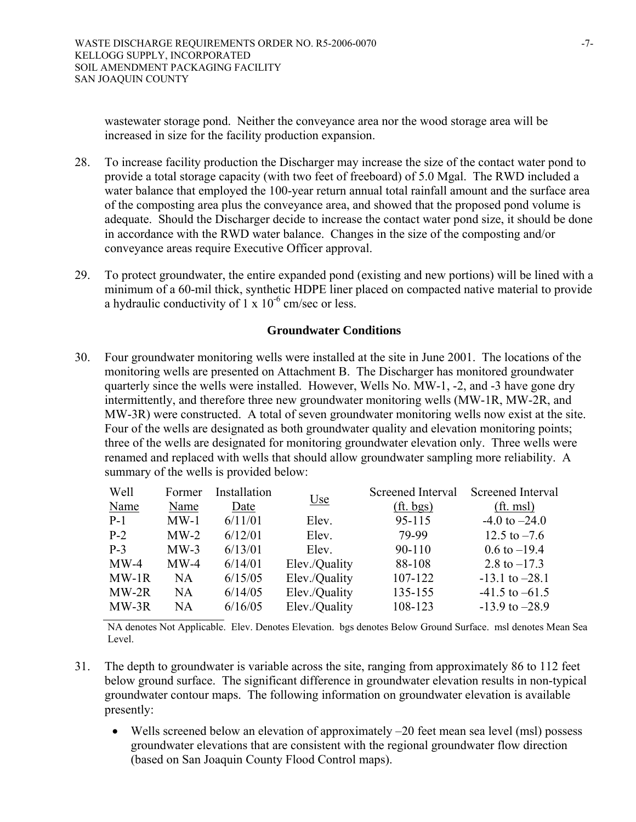wastewater storage pond. Neither the conveyance area nor the wood storage area will be increased in size for the facility production expansion.

- 28. To increase facility production the Discharger may increase the size of the contact water pond to provide a total storage capacity (with two feet of freeboard) of 5.0 Mgal. The RWD included a water balance that employed the 100-year return annual total rainfall amount and the surface area of the composting area plus the conveyance area, and showed that the proposed pond volume is adequate. Should the Discharger decide to increase the contact water pond size, it should be done in accordance with the RWD water balance. Changes in the size of the composting and/or conveyance areas require Executive Officer approval.
- 29. To protect groundwater, the entire expanded pond (existing and new portions) will be lined with a minimum of a 60-mil thick, synthetic HDPE liner placed on compacted native material to provide a hydraulic conductivity of  $1 \times 10^{-6}$  cm/sec or less.

#### **Groundwater Conditions**

30. Four groundwater monitoring wells were installed at the site in June 2001. The locations of the monitoring wells are presented on Attachment B. The Discharger has monitored groundwater quarterly since the wells were installed. However, Wells No. MW-1, -2, and -3 have gone dry intermittently, and therefore three new groundwater monitoring wells (MW-1R, MW-2R, and MW-3R) were constructed. A total of seven groundwater monitoring wells now exist at the site. Four of the wells are designated as both groundwater quality and elevation monitoring points; three of the wells are designated for monitoring groundwater elevation only. Three wells were renamed and replaced with wells that should allow groundwater sampling more reliability. A summary of the wells is provided below:

| Well    | Former    | Installation |               | Screened Interval         | Screened Interval       |
|---------|-----------|--------------|---------------|---------------------------|-------------------------|
| Name    | Name      | Date         | <u>Use</u>    | ( <i>ft</i> , <i>bg</i> ) | ( <i>ft</i> . msl)      |
| $P-1$   | $MW-1$    | 6/11/01      | Elev.         | 95-115                    | $-4.0$ to $-24.0$       |
| $P-2$   | $MW-2$    | 6/12/01      | Elev.         | 79-99                     | 12.5 to $-7.6$          |
| $P-3$   | $MW-3$    | 6/13/01      | Elev.         | $90 - 110$                | $0.6 \text{ to } -19.4$ |
| $MW-4$  | $MW-4$    | 6/14/01      | Elev./Quality | 88-108                    | 2.8 to $-17.3$          |
| $MW-1R$ | <b>NA</b> | 6/15/05      | Elev./Quality | 107-122                   | $-13.1$ to $-28.1$      |
| MW-2R   | NA.       | 6/14/05      | Elev./Quality | 135-155                   | $-41.5$ to $-61.5$      |
| MW-3R   | NA        | 6/16/05      | Elev./Quality | 108-123                   | $-13.9$ to $-28.9$      |

NA denotes Not Applicable. Elev. Denotes Elevation. bgs denotes Below Ground Surface. msl denotes Mean Sea Level.

- 31. The depth to groundwater is variable across the site, ranging from approximately 86 to 112 feet below ground surface. The significant difference in groundwater elevation results in non-typical groundwater contour maps. The following information on groundwater elevation is available presently:
	- Wells screened below an elevation of approximately –20 feet mean sea level (msl) possess groundwater elevations that are consistent with the regional groundwater flow direction (based on San Joaquin County Flood Control maps).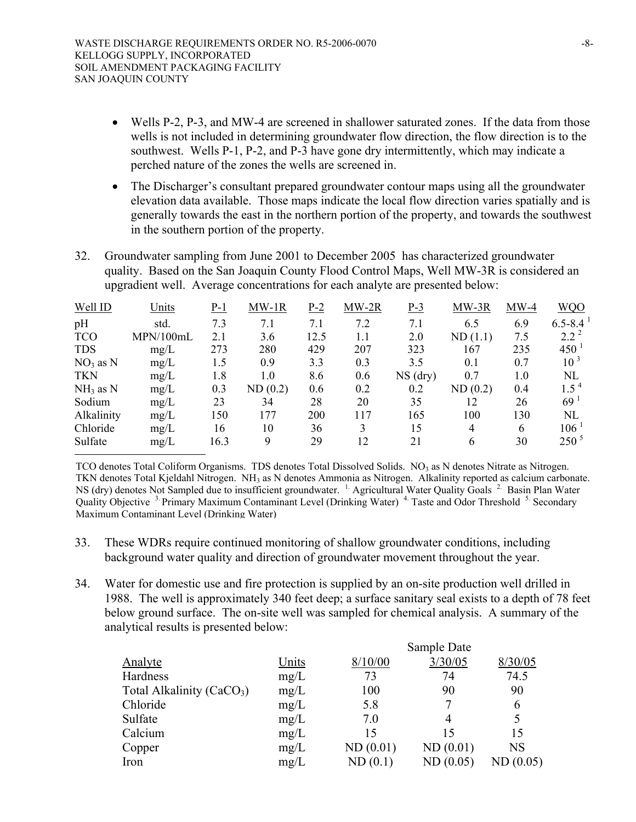- Wells P-2, P-3, and MW-4 are screened in shallower saturated zones. If the data from those wells is not included in determining groundwater flow direction, the flow direction is to the southwest. Wells P-1, P-2, and P-3 have gone dry intermittently, which may indicate a perched nature of the zones the wells are screened in.
- The Discharger's consultant prepared groundwater contour maps using all the groundwater elevation data available. Those maps indicate the local flow direction varies spatially and is generally towards the east in the northern portion of the property, and towards the southwest in the southern portion of the property.
- 32. Groundwater sampling from June 2001 to December 2005 has characterized groundwater quality. Based on the San Joaquin County Flood Control Maps, Well MW-3R is considered an upgradient well. Average concentrations for each analyte are presented below:

| Well ID    | Units     | $P-1$ | $MW-1R$ | $P-2$ | $MW-2R$ | $P-3$      | $MW-3R$ | $MW-4$ | <b>WQQ</b>      |
|------------|-----------|-------|---------|-------|---------|------------|---------|--------|-----------------|
| pH         | std.      | 7.3   | 7.1     | 7.1   | 7.2     | 7.1        | 6.5     | 6.9    | $6.5 - 8.4$     |
| <b>TCO</b> | MPN/100mL | 2.1   | 3.6     | 12.5  | 1.1     | 2.0        | ND(1.1) | 7.5    | $2.2^2$         |
| <b>TDS</b> | mg/L      | 273   | 280     | 429   | 207     | 323        | 167     | 235    | 450             |
| $NO3$ as N | mg/L      | 1.5   | 0.9     | 3.3   | 0.3     | 3.5        | 0.1     | 0.7    | 10 <sup>3</sup> |
| <b>TKN</b> | mg/L      | 1.8   | 1.0     | 8.6   | 0.6     | $NS$ (dry) | 0.7     | 1.0    | NL              |
| $NH3$ as N | mg/L      | 0.3   | ND(0.2) | 0.6   | 0.2     | 0.2        | ND(0.2) | 0.4    | $1.5^4$         |
| Sodium     | mg/L      | 23    | 34      | 28    | 20      | 35         | 12      | 26     | 69 <sup>1</sup> |
| Alkalinity | mg/L      | 150   | 177     | 200   | 117     | 165        | 100     | 130    | <b>NL</b>       |
| Chloride   | mg/L      | 16    | 10      | 36    | 3       | 15         | 4       | 6      | $106^{\degree}$ |
| Sulfate    | mg/L      | 16.3  | 9       | 29    | 12      | 21         | 6       | 30     | $250^{\circ}$   |

TCO denotes Total Coliform Organisms. TDS denotes Total Dissolved Solids.  $NO<sub>3</sub>$  as N denotes Nitrate as Nitrogen. TKN denotes Total Kjeldahl Nitrogen. NH3 as N denotes Ammonia as Nitrogen. Alkalinity reported as calcium carbonate. NS (dry) denotes Not Sampled due to insufficient groundwater. <sup>1</sup> Agricultural Water Quality Goals <sup>2</sup> Basin Plan Water Quality Objective <sup>3</sup>. Primary Maximum Contaminant Level (Drinking Water)<sup>4</sup> Taste and Odor Threshold <sup>5</sup>. Secondary Maximum Contaminant Level (Drinking Water)

- 33. These WDRs require continued monitoring of shallow groundwater conditions, including background water quality and direction of groundwater movement throughout the year.
- 34. Water for domestic use and fire protection is supplied by an on-site production well drilled in 1988. The well is approximately 340 feet deep; a surface sanitary seal exists to a depth of 78 feet below ground surface. The on-site well was sampled for chemical analysis. A summary of the analytical results is presented below:

| <b>Analyte</b>                        | Units | 8/10/00  | 3/30/05  | 8/30/05   |
|---------------------------------------|-------|----------|----------|-----------|
| Hardness                              | mg/L  | 73       | 74       | 74.5      |
| Total Alkalinity (CaCO <sub>3</sub> ) | mg/L  | 100      | 90       | 90        |
| Chloride                              | mg/L  | 5.8      |          | 6         |
| Sulfate                               | mg/L  | 7.0      | 4        | 5         |
| Calcium                               | mg/L  | 15       | 15       | 15        |
| Copper                                | mg/L  | ND(0.01) | ND(0.01) | <b>NS</b> |
| Iron                                  | mg/L  | ND(0.1)  | ND(0.05) | ND(0.05)  |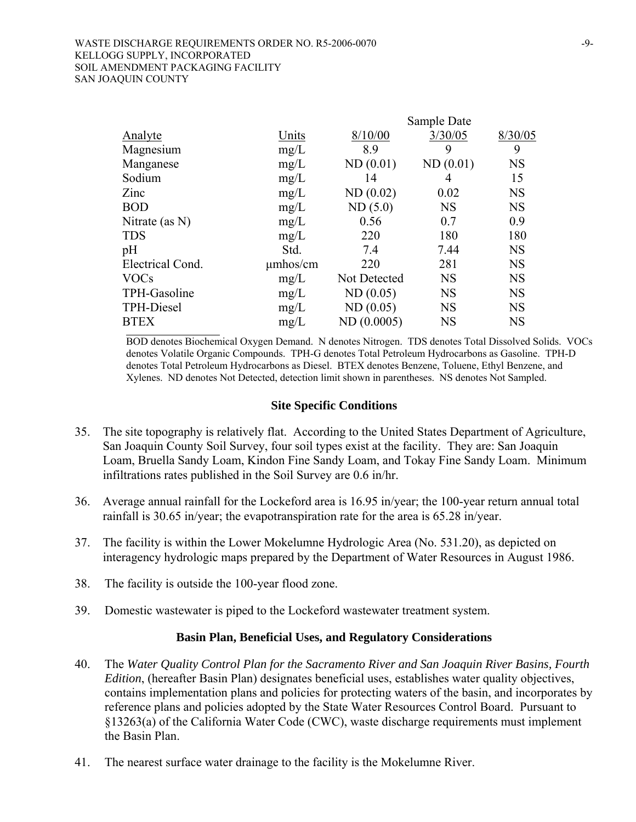|                   |          |              | Sample Date |           |
|-------------------|----------|--------------|-------------|-----------|
| Analyte           | Units    | 8/10/00      | 3/30/05     | 8/30/05   |
| Magnesium         | mg/L     | 8.9          | 9           | 9         |
| Manganese         | mg/L     | ND(0.01)     | ND(0.01)    | <b>NS</b> |
| Sodium            | mg/L     | 14           | 4           | 15        |
| Zinc              | mg/L     | ND(0.02)     | 0.02        | <b>NS</b> |
| <b>BOD</b>        | mg/L     | ND(5.0)      | <b>NS</b>   | <b>NS</b> |
| Nitrate (as $N$ ) | mg/L     | 0.56         | 0.7         | 0.9       |
| <b>TDS</b>        | mg/L     | 220          | 180         | 180       |
| pH                | Std.     | 7.4          | 7.44        | <b>NS</b> |
| Electrical Cond.  | umhos/cm | 220          | 281         | <b>NS</b> |
| <b>VOCs</b>       | mg/L     | Not Detected | <b>NS</b>   | <b>NS</b> |
| TPH-Gasoline      | mg/L     | ND(0.05)     | <b>NS</b>   | <b>NS</b> |
| TPH-Diesel        | mg/L     | ND(0.05)     | <b>NS</b>   | <b>NS</b> |
| <b>BTEX</b>       | mg/L     | ND(0.0005)   | <b>NS</b>   | <b>NS</b> |

BOD denotes Biochemical Oxygen Demand. N denotes Nitrogen. TDS denotes Total Dissolved Solids. VOCs denotes Volatile Organic Compounds. TPH-G denotes Total Petroleum Hydrocarbons as Gasoline. TPH-D denotes Total Petroleum Hydrocarbons as Diesel. BTEX denotes Benzene, Toluene, Ethyl Benzene, and Xylenes. ND denotes Not Detected, detection limit shown in parentheses. NS denotes Not Sampled.

#### **Site Specific Conditions**

- 35. The site topography is relatively flat. According to the United States Department of Agriculture, San Joaquin County Soil Survey, four soil types exist at the facility. They are: San Joaquin Loam, Bruella Sandy Loam, Kindon Fine Sandy Loam, and Tokay Fine Sandy Loam. Minimum infiltrations rates published in the Soil Survey are 0.6 in/hr.
- 36. Average annual rainfall for the Lockeford area is 16.95 in/year; the 100-year return annual total rainfall is 30.65 in/year; the evapotranspiration rate for the area is 65.28 in/year.
- 37. The facility is within the Lower Mokelumne Hydrologic Area (No. 531.20), as depicted on interagency hydrologic maps prepared by the Department of Water Resources in August 1986.
- 38. The facility is outside the 100-year flood zone.
- 39. Domestic wastewater is piped to the Lockeford wastewater treatment system.

#### **Basin Plan, Beneficial Uses, and Regulatory Considerations**

- 40. The *Water Quality Control Plan for the Sacramento River and San Joaquin River Basins, Fourth Edition*, (hereafter Basin Plan) designates beneficial uses, establishes water quality objectives, contains implementation plans and policies for protecting waters of the basin, and incorporates by reference plans and policies adopted by the State Water Resources Control Board. Pursuant to §13263(a) of the California Water Code (CWC), waste discharge requirements must implement the Basin Plan.
- 41. The nearest surface water drainage to the facility is the Mokelumne River.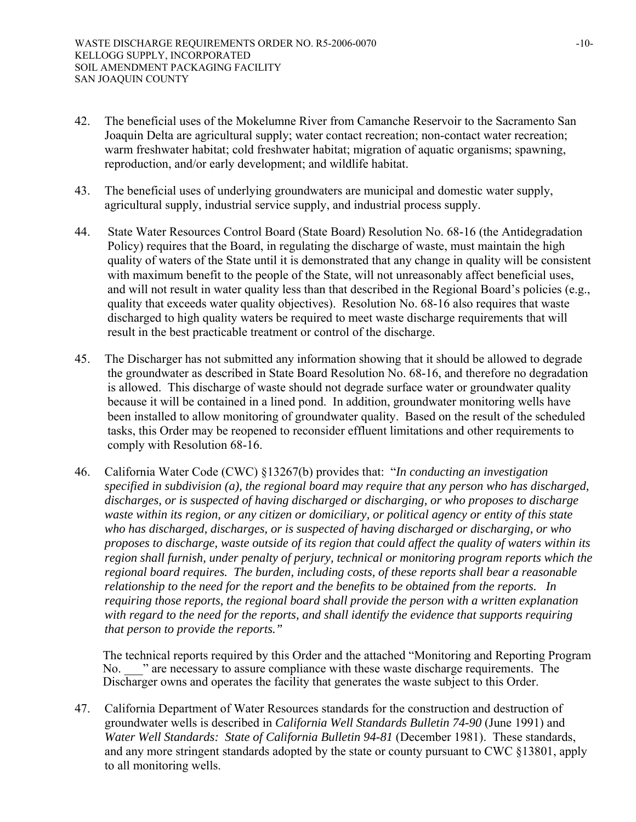- 42. The beneficial uses of the Mokelumne River from Camanche Reservoir to the Sacramento San Joaquin Delta are agricultural supply; water contact recreation; non-contact water recreation; warm freshwater habitat; cold freshwater habitat; migration of aquatic organisms; spawning, reproduction, and/or early development; and wildlife habitat.
- 43. The beneficial uses of underlying groundwaters are municipal and domestic water supply, agricultural supply, industrial service supply, and industrial process supply.
- 44. State Water Resources Control Board (State Board) Resolution No. 68-16 (the Antidegradation Policy) requires that the Board, in regulating the discharge of waste, must maintain the high quality of waters of the State until it is demonstrated that any change in quality will be consistent with maximum benefit to the people of the State, will not unreasonably affect beneficial uses, and will not result in water quality less than that described in the Regional Board's policies (e.g., quality that exceeds water quality objectives). Resolution No. 68-16 also requires that waste discharged to high quality waters be required to meet waste discharge requirements that will result in the best practicable treatment or control of the discharge.
- 45. The Discharger has not submitted any information showing that it should be allowed to degrade the groundwater as described in State Board Resolution No. 68-16, and therefore no degradation is allowed. This discharge of waste should not degrade surface water or groundwater quality because it will be contained in a lined pond. In addition, groundwater monitoring wells have been installed to allow monitoring of groundwater quality. Based on the result of the scheduled tasks, this Order may be reopened to reconsider effluent limitations and other requirements to comply with Resolution 68-16.
- 46. California Water Code (CWC) §13267(b) provides that: "*In conducting an investigation specified in subdivision (a), the regional board may require that any person who has discharged, discharges, or is suspected of having discharged or discharging, or who proposes to discharge waste within its region, or any citizen or domiciliary, or political agency or entity of this state who has discharged, discharges, or is suspected of having discharged or discharging, or who proposes to discharge, waste outside of its region that could affect the quality of waters within its region shall furnish, under penalty of perjury, technical or monitoring program reports which the regional board requires. The burden, including costs, of these reports shall bear a reasonable relationship to the need for the report and the benefits to be obtained from the reports. In requiring those reports, the regional board shall provide the person with a written explanation with regard to the need for the reports, and shall identify the evidence that supports requiring that person to provide the reports."*

The technical reports required by this Order and the attached "Monitoring and Reporting Program No.  $\cdot$  " are necessary to assure compliance with these waste discharge requirements. The Discharger owns and operates the facility that generates the waste subject to this Order.

47. California Department of Water Resources standards for the construction and destruction of groundwater wells is described in *California Well Standards Bulletin 74-90* (June 1991) and *Water Well Standards: State of California Bulletin 94-81* (December 1981). These standards, and any more stringent standards adopted by the state or county pursuant to CWC §13801, apply to all monitoring wells.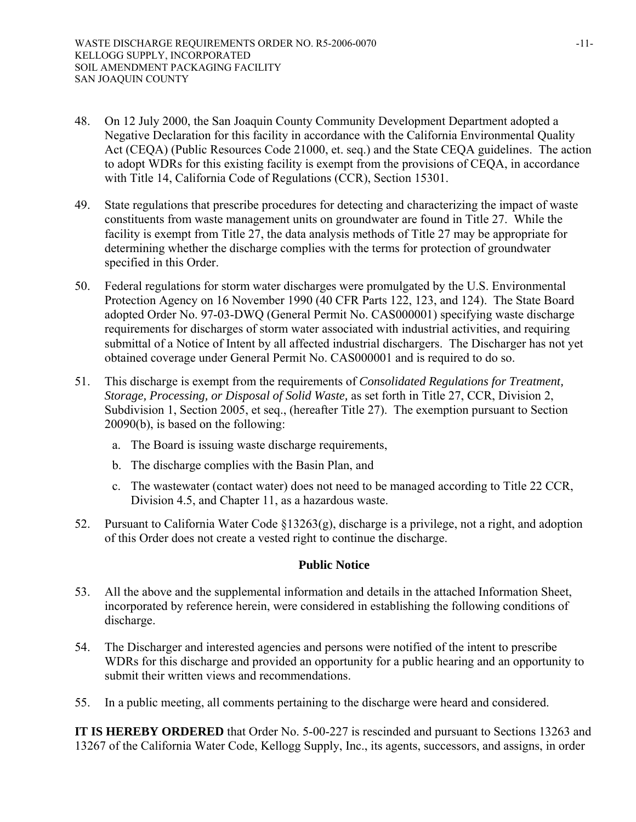- 48. On 12 July 2000, the San Joaquin County Community Development Department adopted a Negative Declaration for this facility in accordance with the California Environmental Quality Act (CEQA) (Public Resources Code 21000, et. seq.) and the State CEQA guidelines. The action to adopt WDRs for this existing facility is exempt from the provisions of CEQA, in accordance with Title 14, California Code of Regulations (CCR), Section 15301.
- 49. State regulations that prescribe procedures for detecting and characterizing the impact of waste constituents from waste management units on groundwater are found in Title 27. While the facility is exempt from Title 27, the data analysis methods of Title 27 may be appropriate for determining whether the discharge complies with the terms for protection of groundwater specified in this Order.
- 50. Federal regulations for storm water discharges were promulgated by the U.S. Environmental Protection Agency on 16 November 1990 (40 CFR Parts 122, 123, and 124). The State Board adopted Order No. 97-03-DWQ (General Permit No. CAS000001) specifying waste discharge requirements for discharges of storm water associated with industrial activities, and requiring submittal of a Notice of Intent by all affected industrial dischargers. The Discharger has not yet obtained coverage under General Permit No. CAS000001 and is required to do so.
- 51. This discharge is exempt from the requirements of *Consolidated Regulations for Treatment, Storage, Processing, or Disposal of Solid Waste,* as set forth in Title 27, CCR, Division 2, Subdivision 1, Section 2005, et seq., (hereafter Title 27). The exemption pursuant to Section 20090(b), is based on the following:
	- a. The Board is issuing waste discharge requirements,
	- b. The discharge complies with the Basin Plan, and
	- c. The wastewater (contact water) does not need to be managed according to Title 22 CCR, Division 4.5, and Chapter 11, as a hazardous waste.
- 52. Pursuant to California Water Code §13263(g), discharge is a privilege, not a right, and adoption of this Order does not create a vested right to continue the discharge.

#### **Public Notice**

- 53. All the above and the supplemental information and details in the attached Information Sheet, incorporated by reference herein, were considered in establishing the following conditions of discharge.
- 54. The Discharger and interested agencies and persons were notified of the intent to prescribe WDRs for this discharge and provided an opportunity for a public hearing and an opportunity to submit their written views and recommendations.
- 55. In a public meeting, all comments pertaining to the discharge were heard and considered.

**IT IS HEREBY ORDERED** that Order No. 5-00-227 is rescinded and pursuant to Sections 13263 and 13267 of the California Water Code, Kellogg Supply, Inc., its agents, successors, and assigns, in order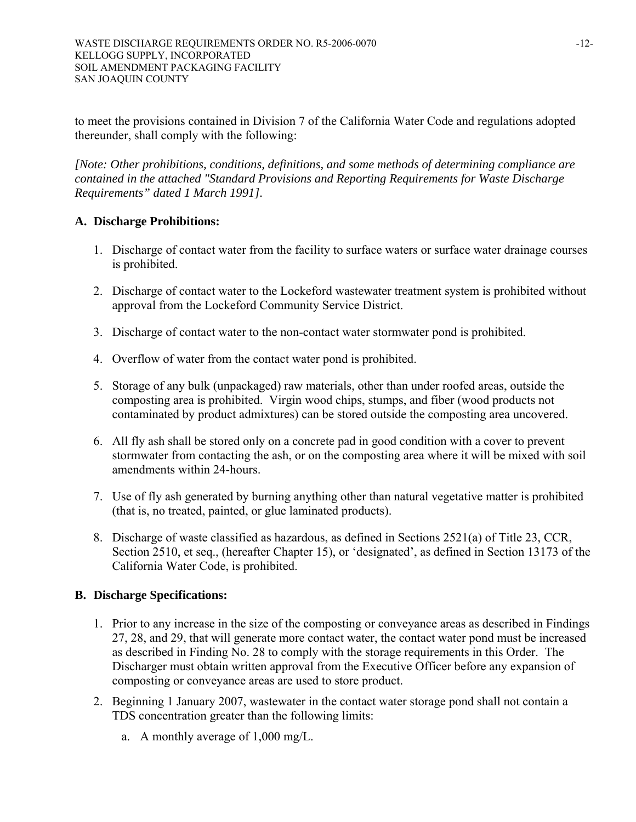to meet the provisions contained in Division 7 of the California Water Code and regulations adopted thereunder, shall comply with the following:

*[Note: Other prohibitions, conditions, definitions, and some methods of determining compliance are contained in the attached "Standard Provisions and Reporting Requirements for Waste Discharge Requirements" dated 1 March 1991].* 

## **A. Discharge Prohibitions:**

- 1. Discharge of contact water from the facility to surface waters or surface water drainage courses is prohibited.
- 2. Discharge of contact water to the Lockeford wastewater treatment system is prohibited without approval from the Lockeford Community Service District.
- 3. Discharge of contact water to the non-contact water stormwater pond is prohibited.
- 4. Overflow of water from the contact water pond is prohibited.
- 5. Storage of any bulk (unpackaged) raw materials, other than under roofed areas, outside the composting area is prohibited. Virgin wood chips, stumps, and fiber (wood products not contaminated by product admixtures) can be stored outside the composting area uncovered.
- 6. All fly ash shall be stored only on a concrete pad in good condition with a cover to prevent stormwater from contacting the ash, or on the composting area where it will be mixed with soil amendments within 24-hours.
- 7. Use of fly ash generated by burning anything other than natural vegetative matter is prohibited (that is, no treated, painted, or glue laminated products).
- 8. Discharge of waste classified as hazardous, as defined in Sections 2521(a) of Title 23, CCR, Section 2510, et seq., (hereafter Chapter 15), or 'designated', as defined in Section 13173 of the California Water Code, is prohibited.

## **B. Discharge Specifications:**

- 1. Prior to any increase in the size of the composting or conveyance areas as described in Findings 27, 28, and 29, that will generate more contact water, the contact water pond must be increased as described in Finding No. 28 to comply with the storage requirements in this Order. The Discharger must obtain written approval from the Executive Officer before any expansion of composting or conveyance areas are used to store product.
- 2. Beginning 1 January 2007, wastewater in the contact water storage pond shall not contain a TDS concentration greater than the following limits:
	- a. A monthly average of 1,000 mg/L.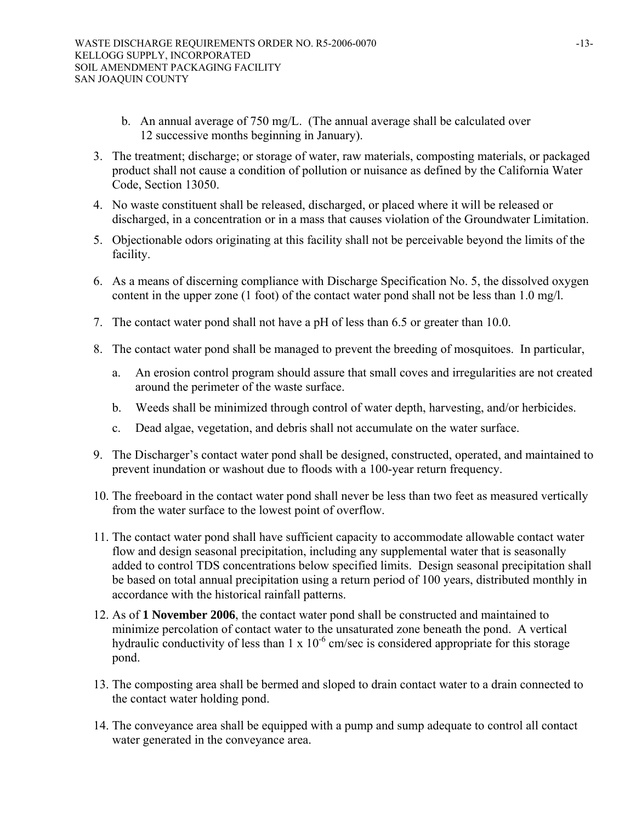- b. An annual average of 750 mg/L. (The annual average shall be calculated over 12 successive months beginning in January).
- 3. The treatment; discharge; or storage of water, raw materials, composting materials, or packaged product shall not cause a condition of pollution or nuisance as defined by the California Water Code, Section 13050.
- 4. No waste constituent shall be released, discharged, or placed where it will be released or discharged, in a concentration or in a mass that causes violation of the Groundwater Limitation.
- 5. Objectionable odors originating at this facility shall not be perceivable beyond the limits of the facility.
- 6. As a means of discerning compliance with Discharge Specification No. 5, the dissolved oxygen content in the upper zone (1 foot) of the contact water pond shall not be less than 1.0 mg/l.
- 7. The contact water pond shall not have a pH of less than 6.5 or greater than 10.0.
- 8. The contact water pond shall be managed to prevent the breeding of mosquitoes. In particular,
	- a. An erosion control program should assure that small coves and irregularities are not created around the perimeter of the waste surface.
	- b. Weeds shall be minimized through control of water depth, harvesting, and/or herbicides.
	- c. Dead algae, vegetation, and debris shall not accumulate on the water surface.
- 9. The Discharger's contact water pond shall be designed, constructed, operated, and maintained to prevent inundation or washout due to floods with a 100-year return frequency.
- 10. The freeboard in the contact water pond shall never be less than two feet as measured vertically from the water surface to the lowest point of overflow.
- 11. The contact water pond shall have sufficient capacity to accommodate allowable contact water flow and design seasonal precipitation, including any supplemental water that is seasonally added to control TDS concentrations below specified limits. Design seasonal precipitation shall be based on total annual precipitation using a return period of 100 years, distributed monthly in accordance with the historical rainfall patterns.
- 12. As of **1 November 2006**, the contact water pond shall be constructed and maintained to minimize percolation of contact water to the unsaturated zone beneath the pond. A vertical hydraulic conductivity of less than  $1 \times 10^{-6}$  cm/sec is considered appropriate for this storage pond.
- 13. The composting area shall be bermed and sloped to drain contact water to a drain connected to the contact water holding pond.
- 14. The conveyance area shall be equipped with a pump and sump adequate to control all contact water generated in the conveyance area.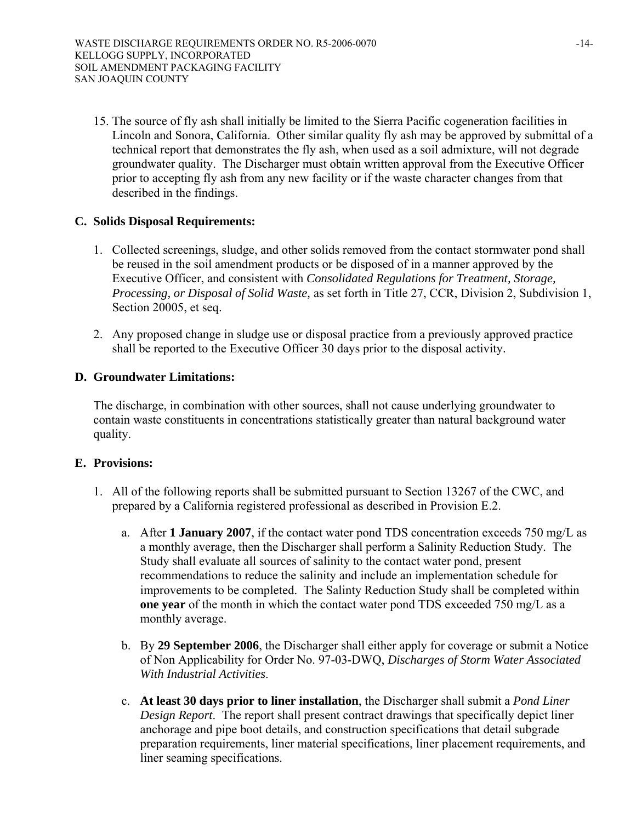15. The source of fly ash shall initially be limited to the Sierra Pacific cogeneration facilities in Lincoln and Sonora, California. Other similar quality fly ash may be approved by submittal of a technical report that demonstrates the fly ash, when used as a soil admixture, will not degrade groundwater quality. The Discharger must obtain written approval from the Executive Officer prior to accepting fly ash from any new facility or if the waste character changes from that described in the findings.

#### **C. Solids Disposal Requirements:**

- 1. Collected screenings, sludge, and other solids removed from the contact stormwater pond shall be reused in the soil amendment products or be disposed of in a manner approved by the Executive Officer, and consistent with *Consolidated Regulations for Treatment, Storage, Processing, or Disposal of Solid Waste,* as set forth in Title 27, CCR, Division 2, Subdivision 1, Section 20005, et seq.
- 2. Any proposed change in sludge use or disposal practice from a previously approved practice shall be reported to the Executive Officer 30 days prior to the disposal activity.

#### **D. Groundwater Limitations:**

The discharge, in combination with other sources, shall not cause underlying groundwater to contain waste constituents in concentrations statistically greater than natural background water quality.

#### **E. Provisions:**

- 1. All of the following reports shall be submitted pursuant to Section 13267 of the CWC, and prepared by a California registered professional as described in Provision E.2.
	- a. After **1 January 2007**, if the contact water pond TDS concentration exceeds 750 mg/L as a monthly average, then the Discharger shall perform a Salinity Reduction Study. The Study shall evaluate all sources of salinity to the contact water pond, present recommendations to reduce the salinity and include an implementation schedule for improvements to be completed. The Salinty Reduction Study shall be completed within **one year** of the month in which the contact water pond TDS exceeded 750 mg/L as a monthly average.
	- b. By **29 September 2006**, the Discharger shall either apply for coverage or submit a Notice of Non Applicability for Order No. 97-03-DWQ, *Discharges of Storm Water Associated With Industrial Activities*.
	- c. **At least 30 days prior to liner installation**, the Discharger shall submit a *Pond Liner Design Report*. The report shall present contract drawings that specifically depict liner anchorage and pipe boot details, and construction specifications that detail subgrade preparation requirements, liner material specifications, liner placement requirements, and liner seaming specifications.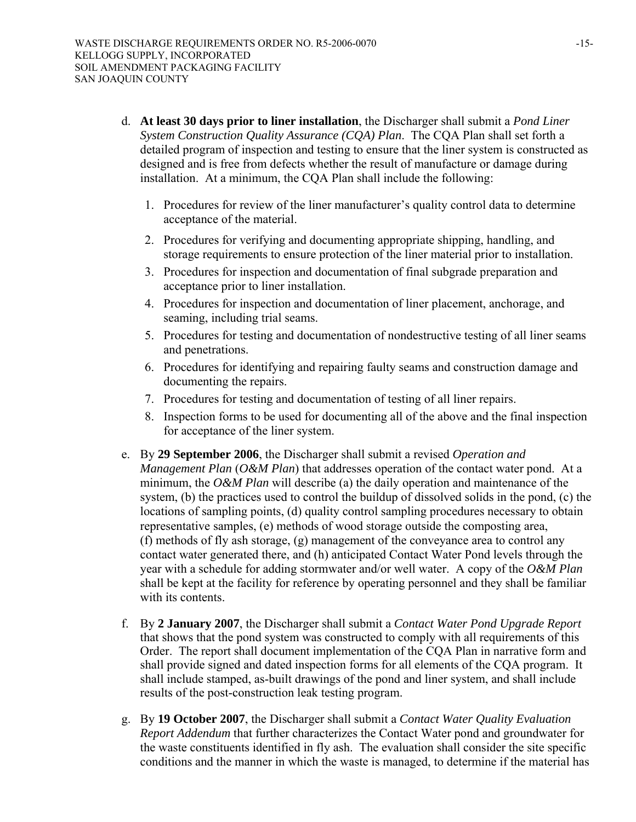- d. **At least 30 days prior to liner installation**, the Discharger shall submit a *Pond Liner System Construction Quality Assurance (CQA) Plan*. The CQA Plan shall set forth a detailed program of inspection and testing to ensure that the liner system is constructed as designed and is free from defects whether the result of manufacture or damage during installation. At a minimum, the CQA Plan shall include the following:
	- 1. Procedures for review of the liner manufacturer's quality control data to determine acceptance of the material.
	- 2. Procedures for verifying and documenting appropriate shipping, handling, and storage requirements to ensure protection of the liner material prior to installation.
	- 3. Procedures for inspection and documentation of final subgrade preparation and acceptance prior to liner installation.
	- 4. Procedures for inspection and documentation of liner placement, anchorage, and seaming, including trial seams.
	- 5. Procedures for testing and documentation of nondestructive testing of all liner seams and penetrations.
	- 6. Procedures for identifying and repairing faulty seams and construction damage and documenting the repairs.
	- 7. Procedures for testing and documentation of testing of all liner repairs.
	- 8. Inspection forms to be used for documenting all of the above and the final inspection for acceptance of the liner system.
- e. By **29 September 2006**, the Discharger shall submit a revised *Operation and Management Plan* (*O&M Plan*) that addresses operation of the contact water pond. At a minimum, the *O&M Plan* will describe (a) the daily operation and maintenance of the system, (b) the practices used to control the buildup of dissolved solids in the pond, (c) the locations of sampling points, (d) quality control sampling procedures necessary to obtain representative samples, (e) methods of wood storage outside the composting area, (f) methods of fly ash storage, (g) management of the conveyance area to control any contact water generated there, and (h) anticipated Contact Water Pond levels through the year with a schedule for adding stormwater and/or well water. A copy of the *O&M Plan* shall be kept at the facility for reference by operating personnel and they shall be familiar with its contents
- f. By **2 January 2007**, the Discharger shall submit a *Contact Water Pond Upgrade Report*  that shows that the pond system was constructed to comply with all requirements of this Order.The report shall document implementation of the CQA Plan in narrative form and shall provide signed and dated inspection forms for all elements of the CQA program. It shall include stamped, as-built drawings of the pond and liner system, and shall include results of the post-construction leak testing program.
- g. By **19 October 2007**, the Discharger shall submit a *Contact Water Quality Evaluation Report Addendum* that further characterizes the Contact Water pond and groundwater for the waste constituents identified in fly ash. The evaluation shall consider the site specific conditions and the manner in which the waste is managed, to determine if the material has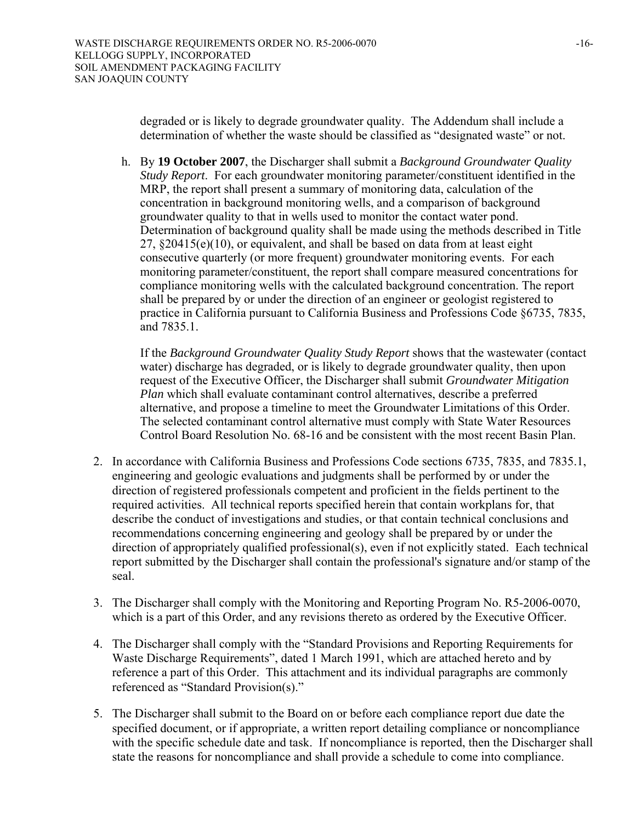degraded or is likely to degrade groundwater quality. The Addendum shall include a determination of whether the waste should be classified as "designated waste" or not.

h. By **19 October 2007**, the Discharger shall submit a *Background Groundwater Quality Study Report*. For each groundwater monitoring parameter/constituent identified in the MRP, the report shall present a summary of monitoring data, calculation of the concentration in background monitoring wells, and a comparison of background groundwater quality to that in wells used to monitor the contact water pond. Determination of background quality shall be made using the methods described in Title 27, §20415(e)(10), or equivalent, and shall be based on data from at least eight consecutive quarterly (or more frequent) groundwater monitoring events. For each monitoring parameter/constituent, the report shall compare measured concentrations for compliance monitoring wells with the calculated background concentration. The report shall be prepared by or under the direction of an engineer or geologist registered to practice in California pursuant to California Business and Professions Code §6735, 7835, and 7835.1.

If the *Background Groundwater Quality Study Report* shows that the wastewater (contact water) discharge has degraded, or is likely to degrade groundwater quality, then upon request of the Executive Officer, the Discharger shall submit *Groundwater Mitigation Plan* which shall evaluate contaminant control alternatives, describe a preferred alternative, and propose a timeline to meet the Groundwater Limitations of this Order. The selected contaminant control alternative must comply with State Water Resources Control Board Resolution No. 68-16 and be consistent with the most recent Basin Plan.

- 2. In accordance with California Business and Professions Code sections 6735, 7835, and 7835.1, engineering and geologic evaluations and judgments shall be performed by or under the direction of registered professionals competent and proficient in the fields pertinent to the required activities. All technical reports specified herein that contain workplans for, that describe the conduct of investigations and studies, or that contain technical conclusions and recommendations concerning engineering and geology shall be prepared by or under the direction of appropriately qualified professional(s), even if not explicitly stated. Each technical report submitted by the Discharger shall contain the professional's signature and/or stamp of the seal.
- 3. The Discharger shall comply with the Monitoring and Reporting Program No. R5-2006-0070, which is a part of this Order, and any revisions thereto as ordered by the Executive Officer.
- 4. The Discharger shall comply with the "Standard Provisions and Reporting Requirements for Waste Discharge Requirements", dated 1 March 1991, which are attached hereto and by reference a part of this Order. This attachment and its individual paragraphs are commonly referenced as "Standard Provision(s)."
- 5. The Discharger shall submit to the Board on or before each compliance report due date the specified document, or if appropriate, a written report detailing compliance or noncompliance with the specific schedule date and task. If noncompliance is reported, then the Discharger shall state the reasons for noncompliance and shall provide a schedule to come into compliance.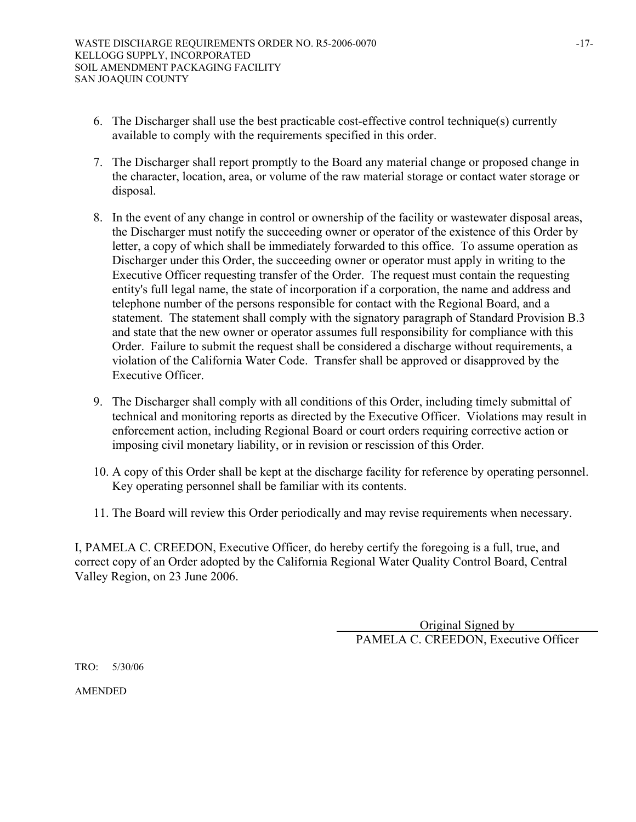- 6. The Discharger shall use the best practicable cost-effective control technique(s) currently available to comply with the requirements specified in this order.
- 7. The Discharger shall report promptly to the Board any material change or proposed change in the character, location, area, or volume of the raw material storage or contact water storage or disposal.
- 8. In the event of any change in control or ownership of the facility or wastewater disposal areas, the Discharger must notify the succeeding owner or operator of the existence of this Order by letter, a copy of which shall be immediately forwarded to this office. To assume operation as Discharger under this Order, the succeeding owner or operator must apply in writing to the Executive Officer requesting transfer of the Order. The request must contain the requesting entity's full legal name, the state of incorporation if a corporation, the name and address and telephone number of the persons responsible for contact with the Regional Board, and a statement. The statement shall comply with the signatory paragraph of Standard Provision B.3 and state that the new owner or operator assumes full responsibility for compliance with this Order. Failure to submit the request shall be considered a discharge without requirements, a violation of the California Water Code. Transfer shall be approved or disapproved by the Executive Officer.
- 9. The Discharger shall comply with all conditions of this Order, including timely submittal of technical and monitoring reports as directed by the Executive Officer. Violations may result in enforcement action, including Regional Board or court orders requiring corrective action or imposing civil monetary liability, or in revision or rescission of this Order.
- 10. A copy of this Order shall be kept at the discharge facility for reference by operating personnel. Key operating personnel shall be familiar with its contents.
- 11. The Board will review this Order periodically and may revise requirements when necessary.

I, PAMELA C. CREEDON, Executive Officer, do hereby certify the foregoing is a full, true, and correct copy of an Order adopted by the California Regional Water Quality Control Board, Central Valley Region, on 23 June 2006.

> Original Signed by PAMELA C. CREEDON, Executive Officer

TRO: 5/30/06

AMENDED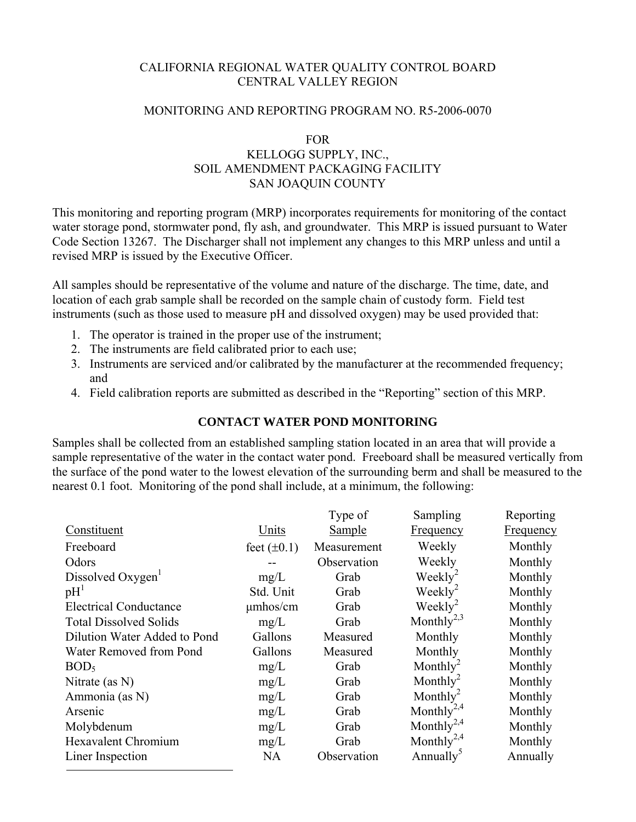#### CALIFORNIA REGIONAL WATER QUALITY CONTROL BOARD CENTRAL VALLEY REGION

#### MONITORING AND REPORTING PROGRAM NO. R5-2006-0070

# FOR

## KELLOGG SUPPLY, INC., SOIL AMENDMENT PACKAGING FACILITY SAN JOAQUIN COUNTY

This monitoring and reporting program (MRP) incorporates requirements for monitoring of the contact water storage pond, stormwater pond, fly ash, and groundwater. This MRP is issued pursuant to Water Code Section 13267. The Discharger shall not implement any changes to this MRP unless and until a revised MRP is issued by the Executive Officer.

All samples should be representative of the volume and nature of the discharge. The time, date, and location of each grab sample shall be recorded on the sample chain of custody form. Field test instruments (such as those used to measure pH and dissolved oxygen) may be used provided that:

- 1. The operator is trained in the proper use of the instrument;
- 2. The instruments are field calibrated prior to each use;
- 3. Instruments are serviced and/or calibrated by the manufacturer at the recommended frequency; and
- 4. Field calibration reports are submitted as described in the "Reporting" section of this MRP.

## **CONTACT WATER POND MONITORING**

Samples shall be collected from an established sampling station located in an area that will provide a sample representative of the water in the contact water pond. Freeboard shall be measured vertically from the surface of the pond water to the lowest elevation of the surrounding berm and shall be measured to the nearest 0.1 foot. Monitoring of the pond shall include, at a minimum, the following:

|                               |                  | Type of       | Sampling               | Reporting        |
|-------------------------------|------------------|---------------|------------------------|------------------|
| Constituent                   | Units            | <b>Sample</b> | <b>Frequency</b>       | <b>Frequency</b> |
| Freeboard                     | feet $(\pm 0.1)$ | Measurement   | Weekly                 | Monthly          |
| Odors                         |                  | Observation   | Weekly                 | Monthly          |
| Dissolved Oxygen              | mg/L             | Grab          | Weekly <sup>2</sup>    | Monthly          |
| pH <sup>1</sup>               | Std. Unit        | Grab          | $\text{Weakly}^2$      | Monthly          |
| <b>Electrical Conductance</b> | $\mu$ mhos/cm    | Grab          | $Weekly^2$             | Monthly          |
| <b>Total Dissolved Solids</b> | mg/L             | Grab          | Monthly <sup>2,3</sup> | Monthly          |
| Dilution Water Added to Pond  | Gallons          | Measured      | Monthly                | Monthly          |
| Water Removed from Pond       | Gallons          | Measured      | Monthly                | Monthly          |
| BOD <sub>5</sub>              | mg/L             | Grab          | Monthly <sup>2</sup>   | Monthly          |
| Nitrate (as $N$ )             | mg/L             | Grab          | Monthly <sup>2</sup>   | Monthly          |
| Ammonia (as N)                | mg/L             | Grab          | Monthly <sup>2</sup>   | Monthly          |
| Arsenic                       | mg/L             | Grab          | Monthly <sup>2,4</sup> | Monthly          |
| Molybdenum                    | mg/L             | Grab          | Monthly <sup>2,4</sup> | Monthly          |
| <b>Hexavalent Chromium</b>    | mg/L             | Grab          | Monthly <sup>2,4</sup> | Monthly          |
| Liner Inspection              | <b>NA</b>        | Observation   | Annually <sup>3</sup>  | Annually         |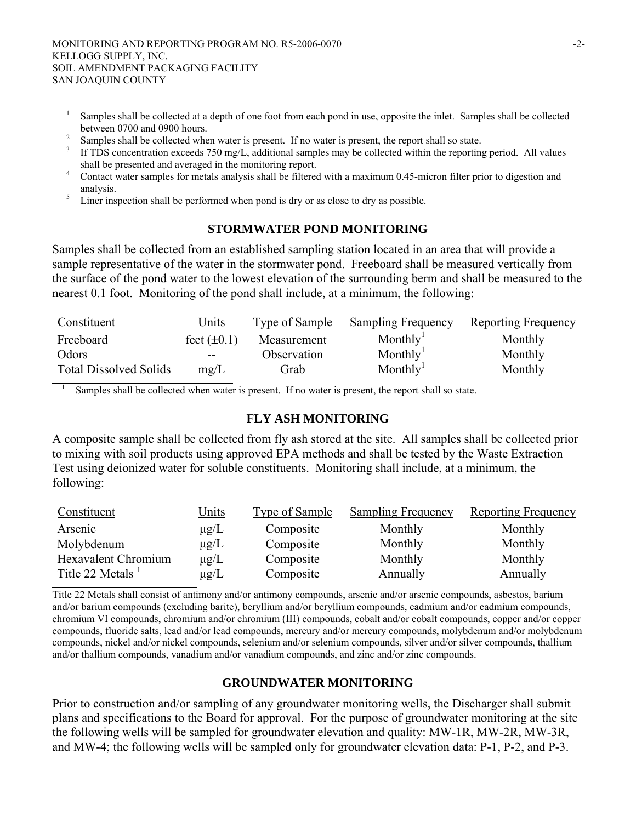1

- 1 Samples shall be collected at a depth of one foot from each pond in use, opposite the inlet. Samples shall be collected between 0700 and 0900 hours.<br> $\frac{2}{3}$  Samples shall be collected when
- Samples shall be collected when water is present. If no water is present, the report shall so state.
- If TDS concentration exceeds 750 mg/L, additional samples may be collected within the reporting period. All values shall be presented and averaged in the monitoring report.
- Contact water samples for metals analysis shall be filtered with a maximum 0.45-micron filter prior to digestion and analysis.
- Liner inspection shall be performed when pond is dry or as close to dry as possible.

#### **STORMWATER POND MONITORING**

Samples shall be collected from an established sampling station located in an area that will provide a sample representative of the water in the stormwater pond. Freeboard shall be measured vertically from the surface of the pond water to the lowest elevation of the surrounding berm and shall be measured to the nearest 0.1 foot. Monitoring of the pond shall include, at a minimum, the following:

| Constituent                   | <u>Units</u>     | Type of Sample | <b>Sampling Frequency</b> | Reporting Frequency |
|-------------------------------|------------------|----------------|---------------------------|---------------------|
| Freeboard                     | feet $(\pm 0.1)$ | Measurement    | Monthly'                  | Monthly             |
| Odors                         | $- -$            | Observation    | Monthly <sup>1</sup>      | Monthly             |
| <b>Total Dissolved Solids</b> | mg/L             | Grab           | Monthly <sup>1</sup>      | Monthly             |

Samples shall be collected when water is present. If no water is present, the report shall so state.

#### **FLY ASH MONITORING**

A composite sample shall be collected from fly ash stored at the site. All samples shall be collected prior to mixing with soil products using approved EPA methods and shall be tested by the Waste Extraction Test using deionized water for soluble constituents. Monitoring shall include, at a minimum, the following:

| Constituent                  | <u>Units</u> | Type of Sample | <b>Sampling Frequency</b> | Reporting Frequency |
|------------------------------|--------------|----------------|---------------------------|---------------------|
| Arsenic                      | $\mu$ g/L    | Composite      | Monthly                   | Monthly             |
| Molybdenum                   | $\mu$ g/L    | Composite      | Monthly                   | Monthly             |
| Hexavalent Chromium          | $\mu$ g/L    | Composite      | Monthly                   | Monthly             |
| Title 22 Metals <sup>1</sup> | $\mu$ g/L    | Composite      | Annually                  | Annually            |

Title 22 Metals shall consist of antimony and/or antimony compounds, arsenic and/or arsenic compounds, asbestos, barium and/or barium compounds (excluding barite), beryllium and/or beryllium compounds, cadmium and/or cadmium compounds, chromium VI compounds, chromium and/or chromium (III) compounds, cobalt and/or cobalt compounds, copper and/or copper compounds, fluoride salts, lead and/or lead compounds, mercury and/or mercury compounds, molybdenum and/or molybdenum compounds, nickel and/or nickel compounds, selenium and/or selenium compounds, silver and/or silver compounds, thallium and/or thallium compounds, vanadium and/or vanadium compounds, and zinc and/or zinc compounds.

#### **GROUNDWATER MONITORING**

Prior to construction and/or sampling of any groundwater monitoring wells, the Discharger shall submit plans and specifications to the Board for approval. For the purpose of groundwater monitoring at the site the following wells will be sampled for groundwater elevation and quality: MW-1R, MW-2R, MW-3R, and MW-4; the following wells will be sampled only for groundwater elevation data: P-1, P-2, and P-3.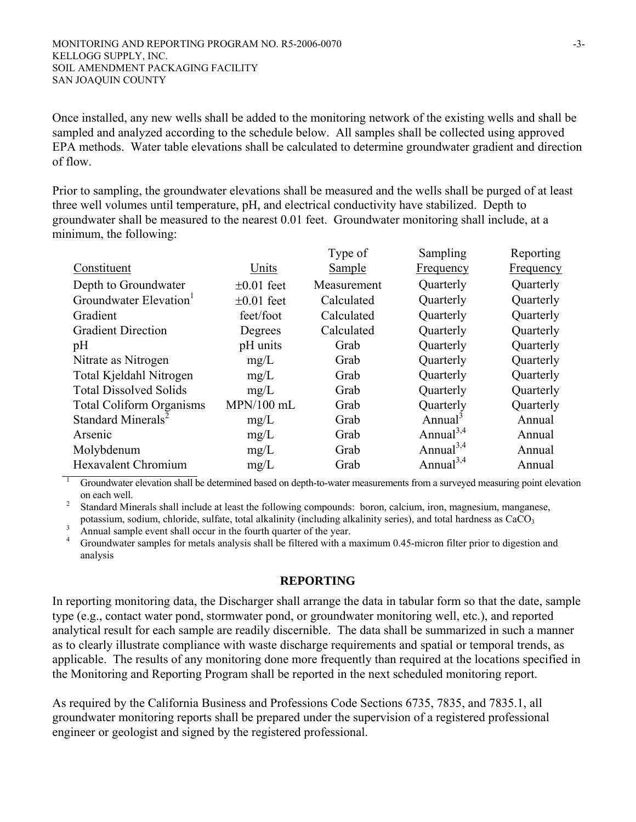Once installed, any new wells shall be added to the monitoring network of the existing wells and shall be sampled and analyzed according to the schedule below. All samples shall be collected using approved EPA methods. Water table elevations shall be calculated to determine groundwater gradient and direction of flow.

Prior to sampling, the groundwater elevations shall be measured and the wells shall be purged of at least three well volumes until temperature, pH, and electrical conductivity have stabilized. Depth to groundwater shall be measured to the nearest 0.01 feet. Groundwater monitoring shall include, at a minimum, the following:

|                                    |                 | Type of       | Sampling              | Reporting |
|------------------------------------|-----------------|---------------|-----------------------|-----------|
| Constituent                        | Units           | <b>Sample</b> | <b>Frequency</b>      | Frequency |
| Depth to Groundwater               | $\pm 0.01$ feet | Measurement   | Quarterly             | Quarterly |
| Groundwater Elevation <sup>1</sup> | $\pm 0.01$ feet | Calculated    | Quarterly             | Quarterly |
| Gradient                           | feet/foot       | Calculated    | Quarterly             | Quarterly |
| <b>Gradient Direction</b>          | Degrees         | Calculated    | Quarterly             | Quarterly |
| pH                                 | pH units        | Grab          | Quarterly             | Quarterly |
| Nitrate as Nitrogen                | mg/L            | Grab          | Quarterly             | Quarterly |
| Total Kjeldahl Nitrogen            | mg/L            | Grab          | Quarterly             | Quarterly |
| <b>Total Dissolved Solids</b>      | mg/L            | Grab          | Quarterly             | Quarterly |
| <b>Total Coliform Organisms</b>    | $MPN/100$ mL    | Grab          | Quarterly             | Quarterly |
| Standard Minerals <sup>2</sup>     | mg/L            | Grab          | Annual <sup>3</sup>   | Annual    |
| Arsenic                            | mg/L            | Grab          | Annual <sup>3,4</sup> | Annual    |
| Molybdenum                         | mg/L            | Grab          | Annual <sup>3,4</sup> | Annual    |
| <b>Hexavalent Chromium</b>         | mg/L            | Grab          | Annual <sup>3,4</sup> | Annual    |

1 Groundwater elevation shall be determined based on depth-to-water measurements from a surveyed measuring point elevation on each well.<br><sup>2</sup> Standard Min

Standard Minerals shall include at least the following compounds: boron, calcium, iron, magnesium, manganese,

potassium, sodium, chloride, sulfate, total alkalinity (including alkalinity series), and total hardness as  $CaCO<sub>3</sub>$ Annual sample event shall occur in the fourth quarter of the year.

4 Groundwater samples for metals analysis shall be filtered with a maximum 0.45-micron filter prior to digestion and analysis

## **REPORTING**

In reporting monitoring data, the Discharger shall arrange the data in tabular form so that the date, sample type (e.g., contact water pond, stormwater pond, or groundwater monitoring well, etc.), and reported analytical result for each sample are readily discernible. The data shall be summarized in such a manner as to clearly illustrate compliance with waste discharge requirements and spatial or temporal trends, as applicable. The results of any monitoring done more frequently than required at the locations specified in the Monitoring and Reporting Program shall be reported in the next scheduled monitoring report.

As required by the California Business and Professions Code Sections 6735, 7835, and 7835.1, all groundwater monitoring reports shall be prepared under the supervision of a registered professional engineer or geologist and signed by the registered professional.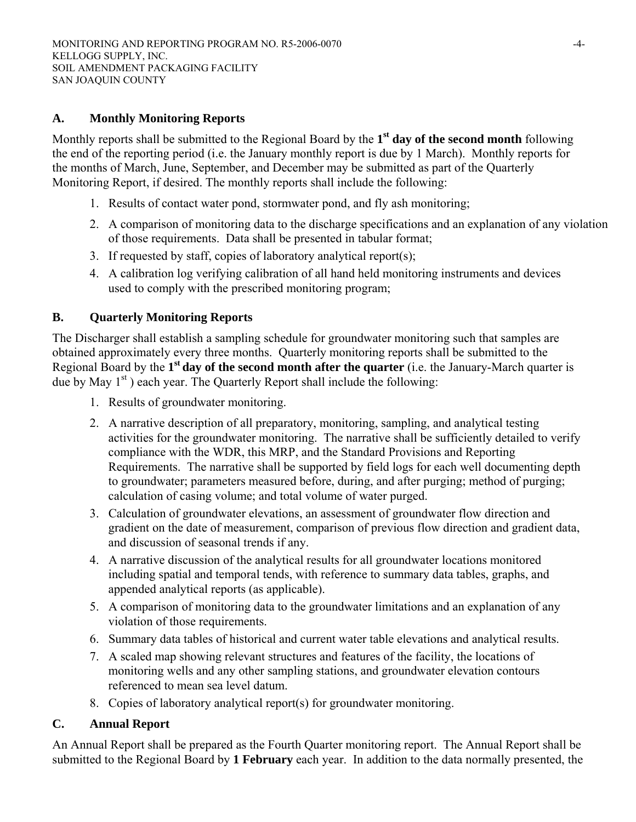# **A. Monthly Monitoring Reports**

Monthly reports shall be submitted to the Regional Board by the **1st day of the second month** following the end of the reporting period (i.e. the January monthly report is due by 1 March). Monthly reports for the months of March, June, September, and December may be submitted as part of the Quarterly Monitoring Report, if desired. The monthly reports shall include the following:

- 1. Results of contact water pond, stormwater pond, and fly ash monitoring;
- 2. A comparison of monitoring data to the discharge specifications and an explanation of any violation of those requirements. Data shall be presented in tabular format;
- 3. If requested by staff, copies of laboratory analytical report(s);
- 4. A calibration log verifying calibration of all hand held monitoring instruments and devices used to comply with the prescribed monitoring program;

# **B. Quarterly Monitoring Reports**

The Discharger shall establish a sampling schedule for groundwater monitoring such that samples are obtained approximately every three months. Quarterly monitoring reports shall be submitted to the Regional Board by the **1st day of the second month after the quarter** (i.e. the January-March quarter is due by May 1<sup>st</sup>) each year. The Quarterly Report shall include the following:

- 1. Results of groundwater monitoring.
- 2. A narrative description of all preparatory, monitoring, sampling, and analytical testing activities for the groundwater monitoring. The narrative shall be sufficiently detailed to verify compliance with the WDR, this MRP, and the Standard Provisions and Reporting Requirements. The narrative shall be supported by field logs for each well documenting depth to groundwater; parameters measured before, during, and after purging; method of purging; calculation of casing volume; and total volume of water purged.
- 3. Calculation of groundwater elevations, an assessment of groundwater flow direction and gradient on the date of measurement, comparison of previous flow direction and gradient data, and discussion of seasonal trends if any.
- 4. A narrative discussion of the analytical results for all groundwater locations monitored including spatial and temporal tends, with reference to summary data tables, graphs, and appended analytical reports (as applicable).
- 5. A comparison of monitoring data to the groundwater limitations and an explanation of any violation of those requirements.
- 6. Summary data tables of historical and current water table elevations and analytical results.
- 7. A scaled map showing relevant structures and features of the facility, the locations of monitoring wells and any other sampling stations, and groundwater elevation contours referenced to mean sea level datum.
- 8. Copies of laboratory analytical report(s) for groundwater monitoring.

## **C. Annual Report**

An Annual Report shall be prepared as the Fourth Quarter monitoring report. The Annual Report shall be submitted to the Regional Board by **1 February** each year. In addition to the data normally presented, the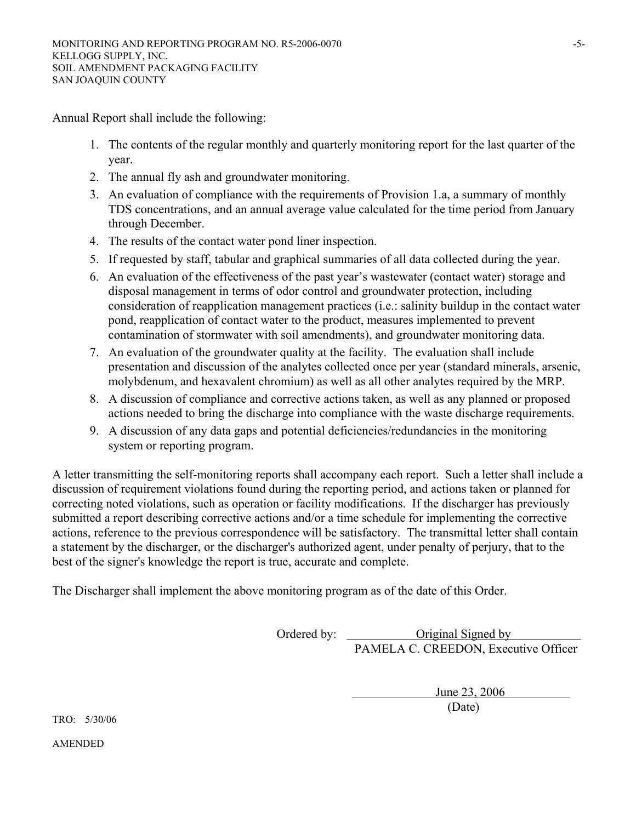Annual Report shall include the following:

- 1. The contents of the regular monthly and quarterly monitoring report for the last quarter of the year.
- 2. The annual fly ash and groundwater monitoring.
- 3. An evaluation of compliance with the requirements of Provision 1.a, a summary of monthly TDS concentrations, and an annual average value calculated for the time period from January through December.
- 4. The results of the contact water pond liner inspection.
- 5. If requested by staff, tabular and graphical summaries of all data collected during the year.
- 6. An evaluation of the effectiveness of the past year's wastewater (contact water) storage and disposal management in terms of odor control and groundwater protection, including consideration of reapplication management practices (i.e.: salinity buildup in the contact water pond, reapplication of contact water to the product, measures implemented to prevent contamination of stormwater with soil amendments), and groundwater monitoring data.
- 7. An evaluation of the groundwater quality at the facility. The evaluation shall include presentation and discussion of the analytes collected once per year (standard minerals, arsenic, molybdenum, and hexavalent chromium) as well as all other analytes required by the MRP.
- 8. A discussion of compliance and corrective actions taken, as well as any planned or proposed actions needed to bring the discharge into compliance with the waste discharge requirements.
- 9. A discussion of any data gaps and potential deficiencies/redundancies in the monitoring system or reporting program.

A letter transmitting the self-monitoring reports shall accompany each report. Such a letter shall include a discussion of requirement violations found during the reporting period, and actions taken or planned for correcting noted violations, such as operation or facility modifications. If the discharger has previously submitted a report describing corrective actions and/or a time schedule for implementing the corrective actions, reference to the previous correspondence will be satisfactory. The transmittal letter shall contain a statement by the discharger, or the discharger's authorized agent, under penalty of perjury, that to the best of the signer's knowledge the report is true, accurate and complete.

The Discharger shall implement the above monitoring program as of the date of this Order.

 Ordered by: Original Signed by PAMELA C. CREEDON, Executive Officer

 June 23, 2006 (Date)

TRO: 5/30/06

AMENDED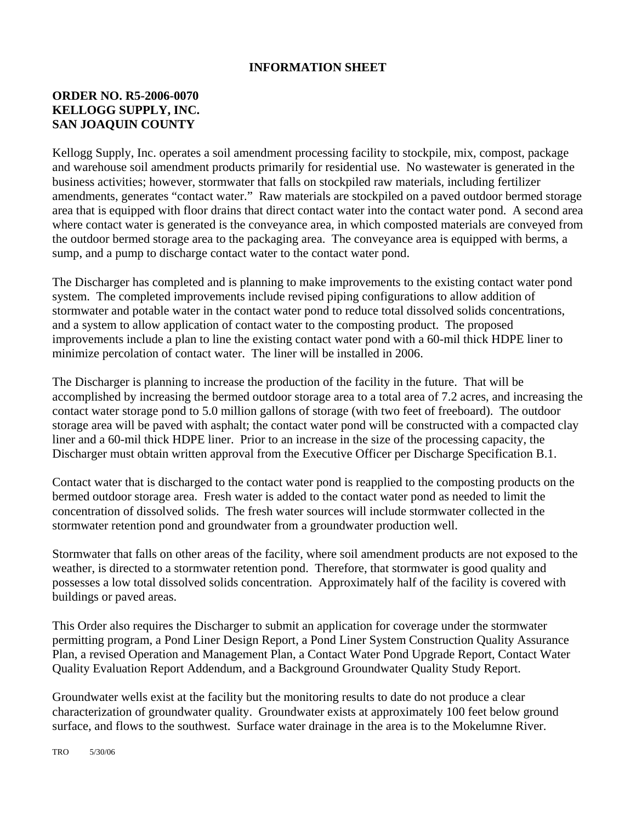#### **INFORMATION SHEET**

# **ORDER NO. R5-2006-0070 KELLOGG SUPPLY, INC. SAN JOAQUIN COUNTY**

Kellogg Supply, Inc. operates a soil amendment processing facility to stockpile, mix, compost, package and warehouse soil amendment products primarily for residential use. No wastewater is generated in the business activities; however, stormwater that falls on stockpiled raw materials, including fertilizer amendments, generates "contact water." Raw materials are stockpiled on a paved outdoor bermed storage area that is equipped with floor drains that direct contact water into the contact water pond. A second area where contact water is generated is the conveyance area, in which composted materials are conveyed from the outdoor bermed storage area to the packaging area. The conveyance area is equipped with berms, a sump, and a pump to discharge contact water to the contact water pond.

The Discharger has completed and is planning to make improvements to the existing contact water pond system. The completed improvements include revised piping configurations to allow addition of stormwater and potable water in the contact water pond to reduce total dissolved solids concentrations, and a system to allow application of contact water to the composting product. The proposed improvements include a plan to line the existing contact water pond with a 60-mil thick HDPE liner to minimize percolation of contact water. The liner will be installed in 2006.

The Discharger is planning to increase the production of the facility in the future. That will be accomplished by increasing the bermed outdoor storage area to a total area of 7.2 acres, and increasing the contact water storage pond to 5.0 million gallons of storage (with two feet of freeboard). The outdoor storage area will be paved with asphalt; the contact water pond will be constructed with a compacted clay liner and a 60-mil thick HDPE liner. Prior to an increase in the size of the processing capacity, the Discharger must obtain written approval from the Executive Officer per Discharge Specification B.1.

Contact water that is discharged to the contact water pond is reapplied to the composting products on the bermed outdoor storage area. Fresh water is added to the contact water pond as needed to limit the concentration of dissolved solids. The fresh water sources will include stormwater collected in the stormwater retention pond and groundwater from a groundwater production well.

Stormwater that falls on other areas of the facility, where soil amendment products are not exposed to the weather, is directed to a stormwater retention pond. Therefore, that stormwater is good quality and possesses a low total dissolved solids concentration. Approximately half of the facility is covered with buildings or paved areas.

This Order also requires the Discharger to submit an application for coverage under the stormwater permitting program, a Pond Liner Design Report, a Pond Liner System Construction Quality Assurance Plan, a revised Operation and Management Plan, a Contact Water Pond Upgrade Report, Contact Water Quality Evaluation Report Addendum, and a Background Groundwater Quality Study Report.

Groundwater wells exist at the facility but the monitoring results to date do not produce a clear characterization of groundwater quality. Groundwater exists at approximately 100 feet below ground surface, and flows to the southwest. Surface water drainage in the area is to the Mokelumne River.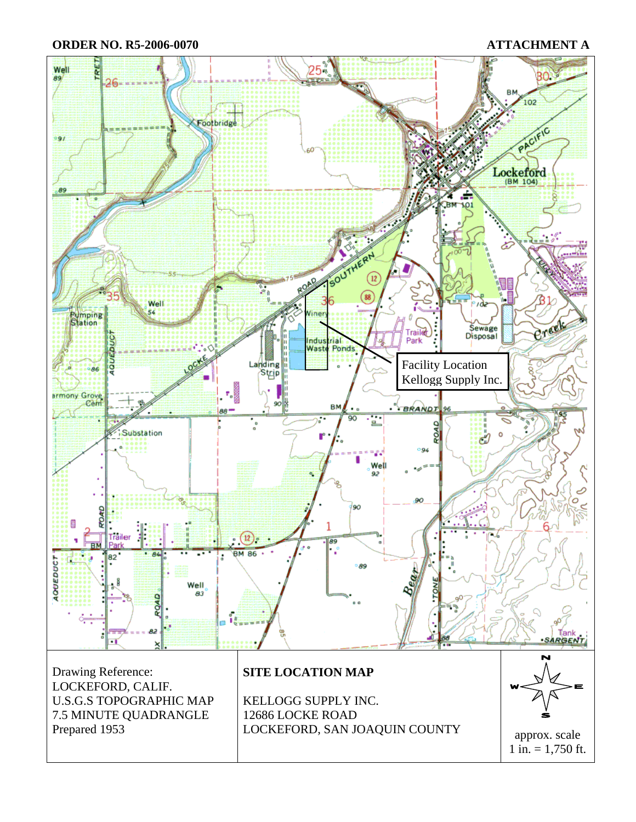**ORDER NO. R5-2006-0070 ATTACHMENT A**